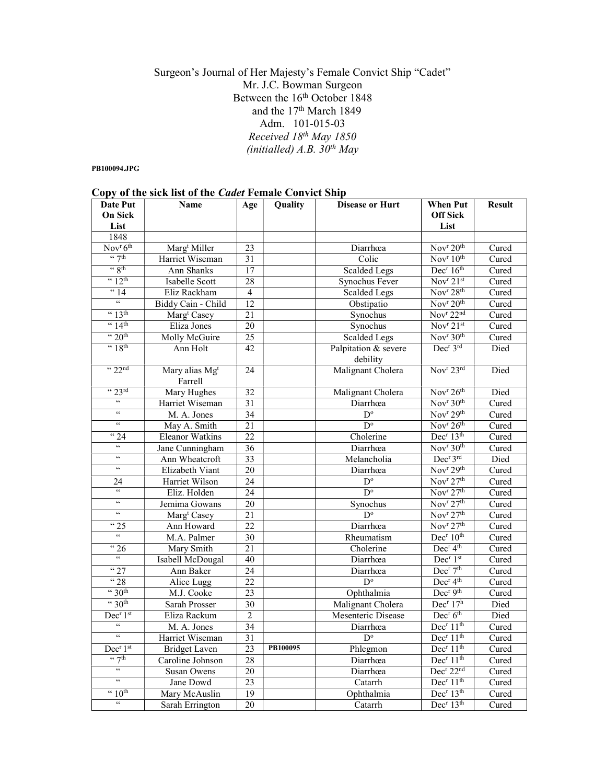## Surgeon's Journal of Her Majesty's Female Convict Ship "Cadet" Mr. J.C. Bowman Surgeon Between the 16<sup>th</sup> October 1848 and the 17<sup>th</sup> March 1849 Adm. 101-015-03 Received 18<sup>th</sup> May 1850 (initialled)  $A.B. 30<sup>th</sup> May$

#### PB100094.JPG

|  |  |  | Copy of the sick list of the <i>Cadet</i> Female Convict Ship |
|--|--|--|---------------------------------------------------------------|
|  |  |  |                                                               |

| Date Put                         | <b>Name</b>                           | Age             | Quality  | <b>Disease or Hurt</b>           | <b>When Put</b>                           | <b>Result</b> |
|----------------------------------|---------------------------------------|-----------------|----------|----------------------------------|-------------------------------------------|---------------|
| <b>On Sick</b>                   |                                       |                 |          |                                  | <b>Off Sick</b>                           |               |
| List                             |                                       |                 |          |                                  | List                                      |               |
| 1848                             |                                       |                 |          |                                  |                                           |               |
| Nov <sup>r</sup> 6 <sup>th</sup> | Marg <sup>t</sup> Miller              | 23              |          | Diarrhœa                         | Nov <sup>r</sup> 20 <sup>th</sup>         | Cured         |
| $\frac{1}{2}$                    | Harriet Wiseman                       | 31              |          | Colic                            | $\overline{\text{Nov}^r 10^{\text{th}}}$  | Cured         |
| $\frac{1}{2}$ 8th                | Ann Shanks                            | $\overline{17}$ |          | <b>Scalded Legs</b>              | Dec <sup>r</sup> 16 <sup>th</sup>         | Cured         |
| $42$ <sup>th</sup>               | Isabelle Scott                        | 28              |          | Synochus Fever                   | Nov <sup>r</sup> 21st                     | Cured         |
| $\frac{14}{14}$                  | Eliz Rackham                          | 4               |          | <b>Scalded Legs</b>              | Nov <sup>r</sup> 28 <sup>th</sup>         | Cured         |
| $\overline{\mathfrak{c}}$        | Biddy Cain - Child                    | 12              |          | Obstipatio                       | Nov <sup>r</sup> $20th$                   | Cured         |
| $\cdot \cdot 13$ <sup>th</sup>   | Marg <sup>t</sup> Casey               | 21              |          | Synochus                         | Nov <sup>r</sup> 22 <sup>nd</sup>         | Cured         |
| $\frac{4}{14}$                   | Eliza Jones                           | 20              |          | Synochus                         | $\overline{\text{Nov}^r 2}$ <sup>st</sup> | Cured         |
| $\cdot \cdot 20$ <sup>th</sup>   | Molly McGuire                         | $\overline{25}$ |          | <b>Scalded Legs</b>              | Nov <sup>r</sup> 30 <sup>th</sup>         | Cured         |
| $~4$ 18 <sup>th</sup>            | Ann Holt                              | 42              |          | Palpitation & severe<br>debility | Dec <sup>r</sup> 3rd                      | Died          |
| $\cdot \cdot 22^{nd}$            | Mary alias Mg <sup>t</sup><br>Farrell | 24              |          | Malignant Cholera                | Nov <sup>r</sup> 23rd                     | Died          |
| " 23rd                           | Mary Hughes                           | $\overline{32}$ |          | Malignant Cholera                | Nov <sup>r</sup> 26 <sup>th</sup>         | Died          |
| $\overline{\mathfrak{c}}$        | Harriet Wiseman                       | 31              |          | Diarrhœa                         | Nov <sup>r</sup> 30 <sup>th</sup>         | Cured         |
| $\zeta\,\zeta$                   | M. A. Jones                           | $\overline{34}$ |          | $D^{\circ}$                      | Nov <sup>r</sup> $29th$                   | Cured         |
| $\zeta\,\zeta$                   | May A. Smith                          | $\overline{21}$ |          | $D^{\circ}$                      | Nov <sup>r</sup> 26 <sup>th</sup>         | Cured         |
| $\overline{4}$ 24                | <b>Eleanor Watkins</b>                | $\overline{22}$ |          | Cholerine                        | Dec <sup>r</sup> 13 <sup>th</sup>         | Cured         |
| $\zeta\,\zeta$                   | Jane Cunningham                       | $\overline{36}$ |          | Diarrhœa                         | Nov <sup>r</sup> $30th$                   | Cured         |
| $\zeta\,\zeta$                   | Ann Wheatcroft                        | $\overline{33}$ |          | Melancholia                      | Dec <sup>r</sup> 3rd                      | Died          |
| $\zeta\,\zeta$                   | Elizabeth Viant                       | 20              |          | Diarrhœa                         | Nov <sup>r</sup> 29 <sup>th</sup>         | Cured         |
| 24                               | Harriet Wilson                        | $\overline{24}$ |          | $\overline{D}^{\circ}$           | Nov <sup>r</sup> 27 <sup>th</sup>         | Cured         |
| $\zeta\,\zeta$                   | Eliz. Holden                          | 24              |          | $D^{\circ}$                      | Nov <sup>r</sup> 27 <sup>th</sup>         | Cured         |
| $\boldsymbol{\varsigma}$         | Jemima Gowans                         | 20              |          | Synochus                         | Nov <sup>r</sup> 27 <sup>th</sup>         | Cured         |
| $\epsilon\epsilon$               | Marg <sup>t</sup> Casey               | 21              |          | $D^{\circ}$                      | $\overline{\text{Nov}}^r 27^{\text{th}}$  | Cured         |
| $\frac{1}{25}$                   | Ann Howard                            | $\overline{22}$ |          | Diarrhœa                         | Nov <sup>r</sup> 27 <sup>th</sup>         | Cured         |
| $\epsilon\epsilon$               | M.A. Palmer                           | 30              |          | Rheumatism                       | Dec <sup>r</sup> 10 <sup>th</sup>         | Cured         |
| $\frac{1}{26}$                   | Mary Smith                            | 21              |          | Cholerine                        | Dec <sup>r</sup> 4 <sup>th</sup>          | Cured         |
| $\overline{66}$                  | Isabell McDougal                      | 40              |          | Diarrhœa                         | Dec <sup>r</sup> 1st                      | Cured         |
| 427                              | Ann Baker                             | $\overline{24}$ |          | Diarrhœa                         | Dec <sup>r</sup> 7 <sup>th</sup>          | Cured         |
| 428                              | Alice Lugg                            | $\overline{22}$ |          | $D^{\circ}$                      | Dec <sup>r</sup> 4 <sup>th</sup>          | Cured         |
| $\cdot \cdot 30$ <sup>th</sup>   | M.J. Cooke                            | 23              |          | Ophthalmia                       | Dec <sup>r</sup> 9 <sup>th</sup>          | Cured         |
| $\cdot \cdot 30$ th              | <b>Sarah Prosser</b>                  | 30              |          | Malignant Cholera                | Dec <sup>r</sup> 17h                      | Died          |
| Dec <sup>r</sup> 1 <sup>st</sup> | Eliza Rackum                          | $\overline{2}$  |          | Mesenteric Disease               | Dec <sup>r</sup> 6 <sup>th</sup>          | Died          |
| $\overline{66}$                  | M. A. Jones                           | 34              |          | Diarrhœa                         | Dec <sup>r</sup> $11th$                   | Cured         |
| $\overline{66}$                  | Harriet Wiseman                       | $\overline{31}$ |          | $D^{\circ}$                      | Dec <sup>r</sup> 11 <sup>th</sup>         | Cured         |
| Dec <sup>r</sup> 1 <sup>st</sup> | <b>Bridget Laven</b>                  | $\overline{23}$ | PB100095 | Phlegmon                         | Dec <sup>r</sup> 11 <sup>th</sup>         | Cured         |
| $\frac{1}{2}$                    | Caroline Johnson                      | $\overline{28}$ |          | Diarrhœa                         | Dec <sup>r</sup> 11 <sup>th</sup>         | Cured         |
| $\epsilon\epsilon$               | Susan Owens                           | $\overline{20}$ |          | Diarrhœa                         | Dec <sup>r</sup> 22 <sup>nd</sup>         | Cured         |
| $\overline{\mathcal{C}}$         | Jane Dowd                             | $\overline{23}$ |          | Catarrh                          | Dec <sup>r</sup> 11 <sup>th</sup>         | Cured         |
| $\cdot \cdot 10^{\text{th}}$     | Mary McAuslin                         | $\overline{19}$ |          | Ophthalmia                       | Dec <sup>r</sup> 13 <sup>th</sup>         | Cured         |
| $\overline{\mathcal{C}}$         | Sarah Errington                       | $\overline{20}$ |          | Catarrh                          | Dec <sup>r</sup> 13 <sup>th</sup>         | Cured         |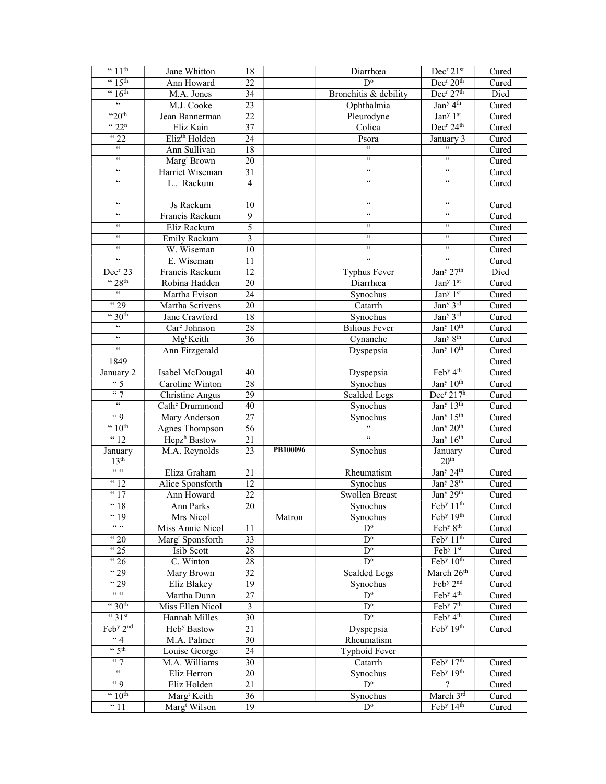| $\sqrt{11^{th}}$               | Jane Whitton                             | 18                      |          | Diarrhœa                               | Dec <sup>r</sup> 21st                                      | Cured          |
|--------------------------------|------------------------------------------|-------------------------|----------|----------------------------------------|------------------------------------------------------------|----------------|
| $\frac{15^{\text{th}}}{}$      | Ann Howard                               | 22                      |          | $D^{\circ}$                            | Dec <sup>r</sup> 20 <sup>th</sup>                          | Cured          |
| $\cdot \cdot 16$ <sup>th</sup> | M.A. Jones                               | 34                      |          | Bronchitis & debility                  | Dec <sup>r</sup> 27 <sup>th</sup>                          | Died           |
| $\zeta\,\zeta$                 | M.J. Cooke                               | 23                      |          | Ophthalmia                             | Jan <sup>y</sup> $4^{th}$                                  | Cured          |
| "20 <sup>th</sup>              | Jean Bannerman                           | 22                      |          | Pleurodyne                             | Jan <sup>y</sup> 1 <sup>st</sup>                           | Cured          |
| $\sqrt{22^n}$                  | Eliz Kain                                | 37                      |          | Colica                                 | Dec <sup>r</sup> 24 <sup>th</sup>                          | Cured          |
| $\overline{42}$                | Eliz <sup>th</sup> Holden                | 24                      |          | Psora                                  | January 3                                                  | Cured          |
| $\zeta\,\zeta$                 | Ann Sullivan                             | 18                      |          | $\epsilon$                             | $\zeta\,\zeta$                                             | Cured          |
| $\epsilon\,\epsilon$           | Marg <sup>t</sup> Brown                  | 20                      |          | $\epsilon\,\epsilon$                   | $\zeta\,\zeta$                                             | Cured          |
| $\zeta\,\zeta$                 | Harriet Wiseman                          | 31                      |          | $\zeta\,\zeta$                         | $\epsilon\epsilon$                                         | Cured          |
| $\zeta\,\zeta$                 | L Rackum                                 | $\overline{4}$          |          | $\zeta\,\zeta$                         | $\zeta\,\zeta$                                             | Cured          |
|                                |                                          |                         |          |                                        |                                                            |                |
| $\epsilon\epsilon$             | Js Rackum                                | 10                      |          | $\zeta\,\zeta$                         | $\epsilon\,\epsilon$                                       | Cured          |
| $\zeta\,\zeta$                 | Francis Rackum                           | 9                       |          | $\zeta\,\zeta$                         | $\zeta \, \zeta$                                           | Cured          |
| $\,$ 6 $\,$                    | Eliz Rackum                              | 5                       |          | $\zeta\,\zeta$                         | $\zeta\,\zeta$                                             | Cured          |
| $\zeta\,\zeta$                 | Emily Rackum                             | $\overline{\mathbf{3}}$ |          | $\zeta\,\zeta$                         | $\zeta\,\zeta$                                             | Cured          |
| $\epsilon\,\epsilon$           | W. Wiseman                               | 10                      |          | $\mathfrak{c}\mathfrak{c}$             | $\mathfrak{c}\mathfrak{c}$                                 | Cured          |
| $\zeta\zeta$                   | E. Wiseman                               | 11                      |          | $\mathfrak{c}\mathfrak{c}$             | $\epsilon$                                                 | Cured          |
| Dec <sup>r</sup> 23            | Francis Rackum                           | $\overline{12}$         |          | Typhus Fever                           | Jan <sup>y</sup> 27 <sup>th</sup>                          | Died           |
| $\cdot \cdot 28$ <sup>th</sup> | Robina Hadden                            | 20                      |          | Diarrhœa                               | Jan <sup>y</sup> 1st                                       | Cured          |
| $\epsilon\epsilon$             | Martha Evison                            | $\overline{24}$         |          | Synochus                               | Jan <sup>y</sup> 1st                                       | Cured          |
| $\frac{1}{29}$                 | Martha Scrivens                          | 20                      |          | Catarrh                                | Jan <sup>y</sup> 3rd                                       | Cured          |
| $\cdot \cdot 30$ <sup>th</sup> | Jane Crawford                            | $\overline{18}$         |          | Synochus                               | Jan <sup>y</sup> 3rd                                       | Cured          |
| $\zeta \, \zeta$               | Car <sup>e</sup> Johnson                 | 28                      |          | <b>Bilious Fever</b>                   | Jan <sup>y</sup> 10 <sup>th</sup>                          | Cured          |
| $\zeta\,\zeta$                 | Mg <sup>t</sup> Keith                    | 36                      |          | Cynanche                               | Jan <sup>y</sup> 8 <sup>th</sup>                           | Cured          |
| $\epsilon\epsilon$             | Ann Fitzgerald                           |                         |          | Dyspepsia                              | Jan <sup>y</sup> 10 <sup>th</sup>                          | Cured          |
| 1849                           |                                          |                         |          |                                        |                                                            | Cured          |
| January $\overline{2}$         | Isabel McDougal                          | 40                      |          | Dyspepsia                              | Feby 4th                                                   | Cured          |
| $\frac{1}{5}$                  | Caroline Winton                          | 28                      |          | Synochus                               | Jan <sup>y</sup> 10 <sup>th</sup>                          | Cured          |
| $\lq\lq$                       | <b>Christine Angus</b>                   | 29                      |          | <b>Scalded Legs</b>                    | Dec <sup>r</sup> 217 <sup>h</sup>                          | Cured          |
| $\zeta\,\zeta$                 | Cath <sup>e</sup> Drummond               | $\overline{40}$         |          | Synochus                               | Jan <sup>y</sup> 13 <sup>th</sup>                          | Cured          |
| $\lq\lq$                       | Mary Anderson                            | 27                      |          | Synochus                               | Jan <sup>y</sup> $15th$                                    | Cured          |
| $\frac{10^{th}}{10^{th}}$      | Agnes Thompson                           | 56                      |          | $\epsilon$                             | Jan <sup>y</sup> 20 <sup>th</sup>                          | Cured          |
| $\sqrt{12}$                    | Hepz <sup>h</sup> Bastow                 | 21                      |          | $\epsilon$                             | Jan <sup>y</sup> $16th$                                    | Cured          |
| January                        | M.A. Reynolds                            | 23                      | PB100096 | Synochus                               | January                                                    | Cured          |
| 13 <sup>th</sup><br>$66, 66$   |                                          |                         |          |                                        | 20 <sup>th</sup>                                           |                |
|                                | Eliza Graham                             | 21                      |          | Rheumatism                             | Jan <sup>y</sup> 24 <sup>th</sup>                          | Cured          |
| $\frac{12}{12}$                | Alice Sponsforth                         | 12                      |          | Synochus                               | Jan <sup>y</sup> 28 <sup>th</sup>                          | Cured          |
| $\sqrt{17}$                    | Ann Howard                               | 22                      |          | <b>Swollen Breast</b>                  | Jan <sup>y</sup> 29 <sup>th</sup>                          | Cured          |
| $\sqrt{18}$                    | Ann Parks                                | 20                      |          | Synochus                               | Feb <sup>y</sup> 11 <sup>th</sup>                          | Cured          |
| "19<br>$66\cdot 66$            | Mrs Nicol                                |                         | Matron   | Synochus                               | Feb <sup>y</sup> 19 <sup>th</sup>                          | Cured          |
|                                | Miss Annie Nicol                         | 11                      |          | $D^{\circ}$                            | Feb <sup>y</sup> 8 <sup>th</sup>                           | Cured          |
| $\sqrt{20}$                    | Marg <sup>t</sup> Sponsforth             | $\overline{33}$         |          | $D^{\circ}$                            | Feb <sup>y</sup> 11 <sup>th</sup>                          | Cured          |
| $\frac{1}{25}$                 | Isib Scott                               | 28                      |          | $\mathbf{D}^{\text{o}}$<br>$D^{\circ}$ | Feb <sup>y</sup> 1st<br>Feb <sup>y</sup> 10 <sup>th</sup>  | Cured          |
| $\sqrt{26}$                    | C. Winton                                | 28                      |          |                                        |                                                            | Cured          |
| " 29<br>$\frac{1}{29}$         | Mary Brown                               | 32                      |          | Scalded Legs                           | March 26 <sup>th</sup><br>Feb <sup>y</sup> 2 <sup>nd</sup> | Cured<br>Cured |
| $\mathsf{GC}/\mathsf{GC}$      | Eliz Blakey                              | 19<br>27                |          | Synochus<br>$D^{\circ}$                | Feb <sup>y</sup> 4 <sup>th</sup>                           |                |
| $\cdot \cdot 30$ <sup>th</sup> | Martha Dunn                              | $\overline{\mathbf{3}}$ |          |                                        | Feby 7th                                                   | Cured          |
| $\frac{1}{2}$ 31st             | Miss Ellen Nicol                         |                         |          | $D^{\circ}$<br>$\overline{D^{\circ}}$  | Feb <sup>y</sup> 4 <sup>th</sup>                           | Cured          |
| Feby 2nd                       | Hannah Milles<br>Heb <sup>y</sup> Bastow | $\overline{30}$<br>21   |          |                                        | Feb <sup>y</sup> 19 <sup>th</sup>                          | Cured<br>Cured |
| $\overline{\phantom{0}4}$      | M.A. Palmer                              | 30                      |          | Dyspepsia<br>Rheumatism                |                                                            |                |
| $\frac{1}{5}$ th               |                                          | 24                      |          |                                        |                                                            |                |
| $\lq\lq$                       | Louise George                            |                         |          | Typhoid Fever                          | Feb <sup>y</sup> 17 <sup>th</sup>                          |                |
| $\epsilon\epsilon$             | M.A. Williams<br>Eliz Herron             | 30                      |          | Catarrh<br>Synochus                    | Feb <sup>y</sup> 19 <sup>th</sup>                          | Cured<br>Cured |
| $\lq\lq$ 9                     | Eliz Holden                              | 20<br>21                |          | $D^{\circ}$                            | $\overline{\mathcal{L}}$                                   | Cured          |
| $~10$ <sup>th</sup>            | Marg <sup>t</sup> Keith                  | 36                      |          | Synochus                               | March 3rd                                                  | Cured          |
| <sup>"</sup> 11                | Marg <sup>t</sup> Wilson                 | 19                      |          | $D^{\circ}$                            | Feb <sup>y</sup> 14 <sup>th</sup>                          | Cured          |
|                                |                                          |                         |          |                                        |                                                            |                |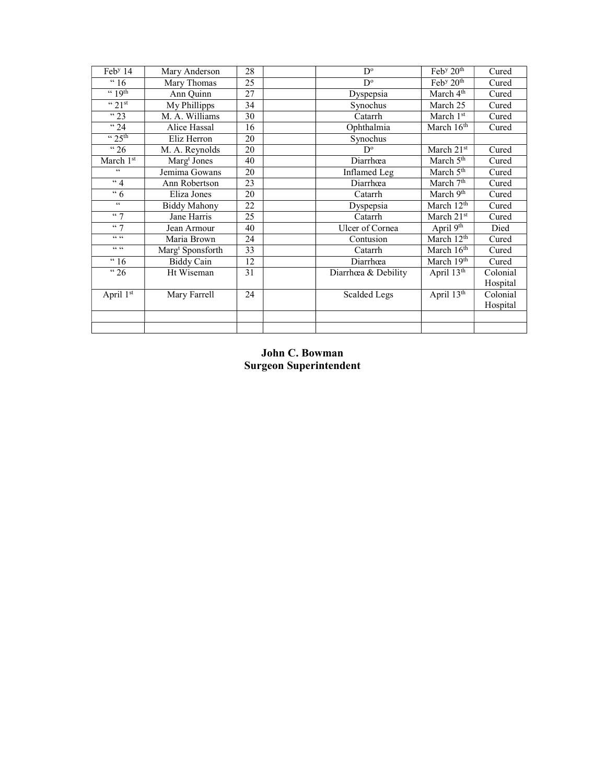| Feb <sup>y</sup> 14 | Mary Anderson                | 28 | $D^{\circ}$         | Feb <sup>y</sup> 20 <sup>th</sup> | Cured    |
|---------------------|------------------------------|----|---------------------|-----------------------------------|----------|
| " 16                | Mary Thomas                  | 25 | D°                  | Feb <sup>y</sup> 20 <sup>th</sup> | Cured    |
| $(4.19$ th          | Ann Quinn                    | 27 | Dyspepsia           | March 4 <sup>th</sup>             | Cured    |
| $\cdot \cdot 21$ st | My Phillipps                 | 34 | Synochus            | March 25                          | Cured    |
| $\sqrt{23}$         | M. A. Williams               | 30 | Catarrh             | March 1st                         | Cured    |
| $\lq$ 24            | Alice Hassal                 | 16 | Ophthalmia          | March 16 <sup>th</sup>            | Cured    |
| $\frac{1}{25}$ th   | Eliz Herron                  | 20 | Synochus            |                                   |          |
| $\cdot \cdot$ 26    | M. A. Reynolds               | 20 | $D^{\circ}$         | March 21st                        | Cured    |
| March 1st           | Marg <sup>t</sup> Jones      | 40 | Diarrhœa            | March 5 <sup>th</sup>             | Cured    |
| $\zeta\,\zeta$      | Jemima Gowans                | 20 | Inflamed Leg        | March 5 <sup>th</sup>             | Cured    |
| $\lq 4$             | Ann Robertson                | 23 | Diarrhœa            | March 7 <sup>th</sup>             | Cured    |
| $\overline{6}$      | Eliza Jones                  | 20 | Catarrh             | March 9th                         | Cured    |
| $\zeta\,\zeta$      | <b>Biddy Mahony</b>          | 22 | Dyspepsia           | March 12 <sup>th</sup>            | Cured    |
| 447                 | Jane Harris                  | 25 | Catarrh             | March 21st                        | Cured    |
| 467                 | Jean Armour                  | 40 | Ulcer of Cornea     | April 9th                         | Died     |
| $66\cdot 66$        | Maria Brown                  | 24 | Contusion           | March 12 <sup>th</sup>            | Cured    |
| $66\cdot 66$        | Marg <sup>t</sup> Sponsforth | 33 | Catarrh             | March 16 <sup>th</sup>            | Cured    |
| " 16                | <b>Biddy Cain</b>            | 12 | Diarrhœa            | March 19th                        | Cured    |
| " <sup>26</sup>     | Ht Wiseman                   | 31 | Diarrhœa & Debility | April 13th                        | Colonial |
|                     |                              |    |                     |                                   | Hospital |
| April 1st           | Mary Farrell                 | 24 | <b>Scalded Legs</b> | April $13^{th}$                   | Colonial |
|                     |                              |    |                     |                                   | Hospital |
|                     |                              |    |                     |                                   |          |
|                     |                              |    |                     |                                   |          |

# John C. Bowman Surgeon Superintendent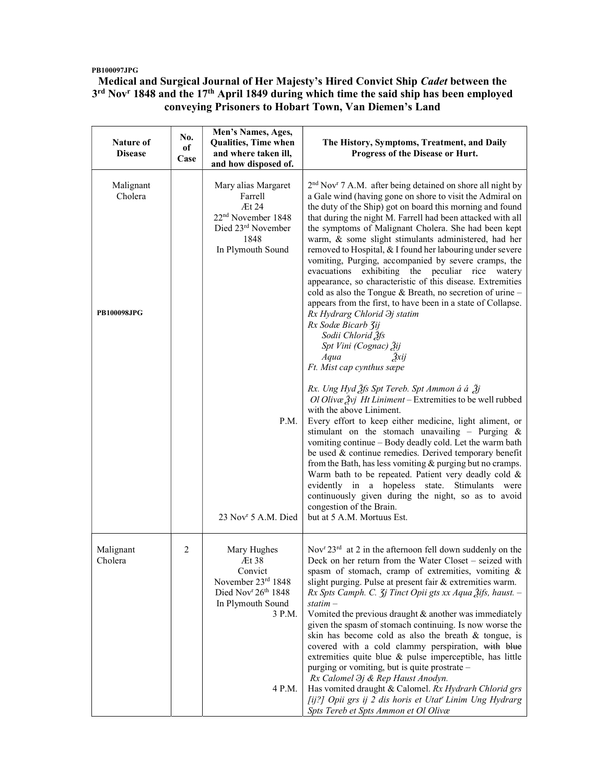### PB100097JPG

## Medical and Surgical Journal of Her Majesty's Hired Convict Ship Cadet between the 3<sup>rd</sup> Nov<sup>r</sup> 1848 and the 17<sup>th</sup> April 1849 during which time the said ship has been employed conveying Prisoners to Hobart Town, Van Diemen's Land

| Nature of<br><b>Disease</b>         | No.<br>оf<br>Case | Men's Names, Ages,<br><b>Qualities, Time when</b><br>and where taken ill,<br>and how disposed of.                            | The History, Symptoms, Treatment, and Daily<br>Progress of the Disease or Hurt.                                                                                                                                                                                                                                                                                                                                                                                                                                                                                                                                                                                                                                                                                                                                                                                                                                                                                               |
|-------------------------------------|-------------------|------------------------------------------------------------------------------------------------------------------------------|-------------------------------------------------------------------------------------------------------------------------------------------------------------------------------------------------------------------------------------------------------------------------------------------------------------------------------------------------------------------------------------------------------------------------------------------------------------------------------------------------------------------------------------------------------------------------------------------------------------------------------------------------------------------------------------------------------------------------------------------------------------------------------------------------------------------------------------------------------------------------------------------------------------------------------------------------------------------------------|
| Malignant<br>Cholera<br>PB100098JPG |                   | Mary alias Margaret<br>Farrell<br>Æt 24<br>22 <sup>nd</sup> November 1848<br>Died 23rd November<br>1848<br>In Plymouth Sound | 2 <sup>nd</sup> Nov <sup>r</sup> 7 A.M. after being detained on shore all night by<br>a Gale wind (having gone on shore to visit the Admiral on<br>the duty of the Ship) got on board this morning and found<br>that during the night M. Farrell had been attacked with all<br>the symptoms of Malignant Cholera. She had been kept<br>warm, & some slight stimulants administered, had her<br>removed to Hospital, & I found her labouring under severe<br>vomiting, Purging, accompanied by severe cramps, the<br>evacuations<br>exhibiting the peculiar rice<br>watery<br>appearance, so characteristic of this disease. Extremities<br>cold as also the Tongue & Breath, no secretion of urine -<br>appears from the first, to have been in a state of Collapse.<br>Rx Hydrarg Chlorid $\partial j$ statim<br>Rx Sodæ Bicarb Zij<br>Sodii Chlorid 3fs<br>Spt Vini (Cognac) Žij<br>Aqua<br>3xi<br>Ft. Mist cap cynthus sæpe<br>Rx. Ung Hyd 3fs Spt Tereb. Spt Ammon á á 3j |
|                                     |                   | P.M.<br>23 Nov <sup>r</sup> 5 A.M. Died                                                                                      | Ol Olivæ $\tilde{Z}$ vj Ht Liniment – Extremities to be well rubbed<br>with the above Liniment.<br>Every effort to keep either medicine, light aliment, or<br>stimulant on the stomach unavailing - Purging $\&$<br>vomiting continue - Body deadly cold. Let the warm bath<br>be used & continue remedies. Derived temporary benefit<br>from the Bath, has less vomiting & purging but no cramps.<br>Warm bath to be repeated. Patient very deadly cold &<br>evidently in a hopeless state. Stimulants were<br>continuously given during the night, so as to avoid<br>congestion of the Brain.<br>but at 5 A.M. Mortuus Est.                                                                                                                                                                                                                                                                                                                                                 |
| Malignant<br>Cholera                | 2                 | Mary Hughes<br>Æt 38<br>Convict<br>November 23rd 1848<br>Died Novr 26th 1848<br>In Plymouth Sound<br>3 P.M.                  | Nov <sup>r</sup> 23 <sup>rd</sup> at 2 in the afternoon fell down suddenly on the<br>Deck on her return from the Water Closet - seized with<br>spasm of stomach, cramp of extremities, vomiting &<br>slight purging. Pulse at present fair & extremities warm.<br>Rx Spts Camph. C. 3j Tinct Opii gts xx Aqua Žifs, haust. -<br>$statim -$<br>Vomited the previous draught & another was immediately<br>given the spasm of stomach continuing. Is now worse the<br>skin has become cold as also the breath & tongue, is<br>covered with a cold clammy perspiration, with blue<br>extremities quite blue & pulse imperceptible, has little<br>purging or vomiting, but is quite prostrate -<br>Rx Calomel $\partial j$ & Rep Haust Anodyn.                                                                                                                                                                                                                                     |
|                                     |                   | 4 P.M.                                                                                                                       | Has vomited draught & Calomel. Rx Hydrarh Chlorid grs<br>[ij?] Opii grs ij 2 dis horis et Utat' Linim Ung Hydrarg<br>Spts Tereb et Spts Ammon et Ol Olivæ                                                                                                                                                                                                                                                                                                                                                                                                                                                                                                                                                                                                                                                                                                                                                                                                                     |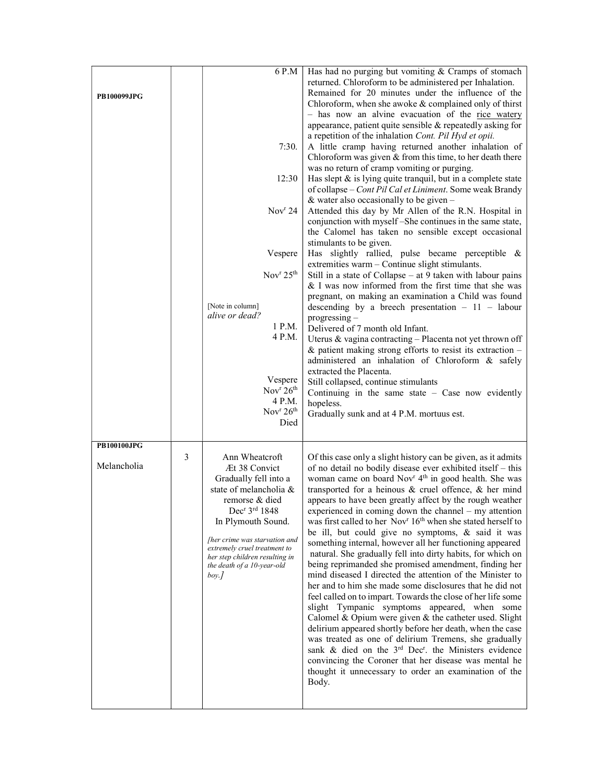| <b>PB100099JPG</b>                |   | 6 P.M<br>7:30.<br>12:30<br>Nov <sup>r</sup> 24<br>Vespere<br>Nov $r$ 25 <sup>th</sup><br>[Note in column]<br>alive or dead?<br>1 P.M.<br>4 P.M.<br>Vespere<br>Nov <sup>r</sup> 26 <sup>th</sup><br>4 P.M.<br>Nov <sup>r</sup> $26th$<br>Died                                                     | Has had no purging but vomiting & Cramps of stomach<br>returned. Chloroform to be administered per Inhalation.<br>Remained for 20 minutes under the influence of the<br>Chloroform, when she awoke $&$ complained only of thirst<br>- has now an alvine evacuation of the rice watery<br>appearance, patient quite sensible & repeatedly asking for<br>a repetition of the inhalation Cont. Pil Hyd et opii.<br>A little cramp having returned another inhalation of<br>Chloroform was given $&$ from this time, to her death there<br>was no return of cramp vomiting or purging.<br>Has slept $\&$ is lying quite tranquil, but in a complete state<br>of collapse - Cont Pil Cal et Liniment. Some weak Brandy<br>& water also occasionally to be given $-$<br>Attended this day by Mr Allen of the R.N. Hospital in<br>conjunction with myself-She continues in the same state,<br>the Calomel has taken no sensible except occasional<br>stimulants to be given.<br>Has slightly rallied, pulse became perceptible &<br>extremities warm - Continue slight stimulants.<br>Still in a state of Collapse $-$ at 9 taken with labour pains<br>& I was now informed from the first time that she was<br>pregnant, on making an examination a Child was found<br>descending by a breech presentation $-11$ - labour<br>$progressing -$<br>Delivered of 7 month old Infant.<br>Uterus & vagina contracting - Placenta not yet thrown off<br>$\&$ patient making strong efforts to resist its extraction –<br>administered an inhalation of Chloroform & safely<br>extracted the Placenta.<br>Still collapsed, continue stimulants<br>Continuing in the same state $-$ Case now evidently<br>hopeless.<br>Gradually sunk and at 4 P.M. mortuus est. |
|-----------------------------------|---|--------------------------------------------------------------------------------------------------------------------------------------------------------------------------------------------------------------------------------------------------------------------------------------------------|---------------------------------------------------------------------------------------------------------------------------------------------------------------------------------------------------------------------------------------------------------------------------------------------------------------------------------------------------------------------------------------------------------------------------------------------------------------------------------------------------------------------------------------------------------------------------------------------------------------------------------------------------------------------------------------------------------------------------------------------------------------------------------------------------------------------------------------------------------------------------------------------------------------------------------------------------------------------------------------------------------------------------------------------------------------------------------------------------------------------------------------------------------------------------------------------------------------------------------------------------------------------------------------------------------------------------------------------------------------------------------------------------------------------------------------------------------------------------------------------------------------------------------------------------------------------------------------------------------------------------------------------------------------------------------------------------------------------------------------------------|
| <b>PB100100JPG</b><br>Melancholia | 3 | Ann Wheatcroft<br>Æt 38 Convict<br>Gradually fell into a<br>state of melancholia &<br>remorse & died<br>Dec <sup>r</sup> 3rd 1848<br>In Plymouth Sound.<br>Ther crime was starvation and<br>extremely cruel treatment to<br>her step children resulting in<br>the death of a 10-year-old<br>boy. | Of this case only a slight history can be given, as it admits<br>of no detail no bodily disease ever exhibited itself – this<br>woman came on board Nov <sup>r</sup> 4 <sup>th</sup> in good health. She was<br>transported for a heinous $\&$ cruel offence, $\&$ her mind<br>appears to have been greatly affect by the rough weather<br>experienced in coming down the channel - my attention<br>was first called to her Nov <sup>r</sup> 16 <sup>th</sup> when she stated herself to<br>be ill, but could give no symptoms, & said it was<br>something internal, however all her functioning appeared<br>natural. She gradually fell into dirty habits, for which on<br>being reprimanded she promised amendment, finding her<br>mind diseased I directed the attention of the Minister to<br>her and to him she made some disclosures that he did not<br>feel called on to impart. Towards the close of her life some<br>slight Tympanic symptoms appeared, when some<br>Calomel & Opium were given & the catheter used. Slight<br>delirium appeared shortly before her death, when the case<br>was treated as one of delirium Tremens, she gradually<br>sank & died on the 3 <sup>rd</sup> Dec <sup>r</sup> . the Ministers evidence<br>convincing the Coroner that her disease was mental he<br>thought it unnecessary to order an examination of the<br>Body.                                                                                                                                                                                                                                                                                                                                                                             |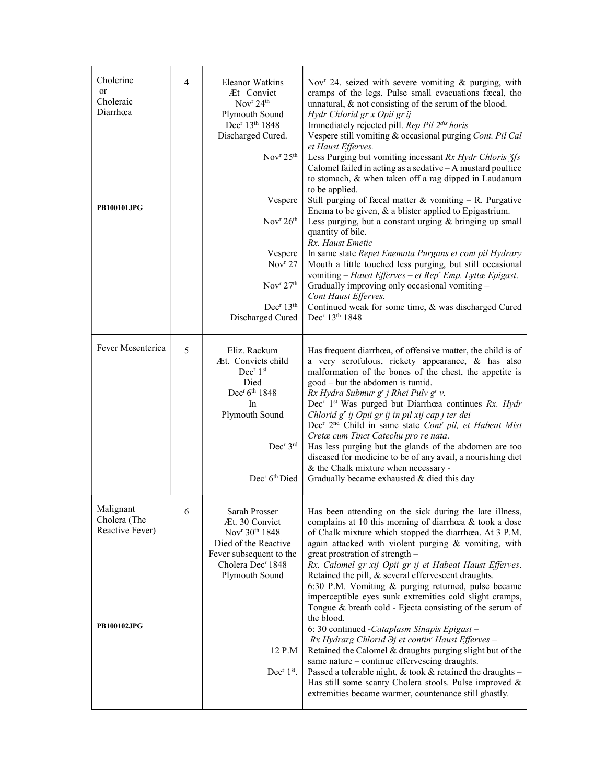| Cholerine<br><sub>or</sub><br>Choleraic<br>Diarrhœa<br><b>PB100101JPG</b> | 4 | <b>Eleanor Watkins</b><br>Æt Convict<br>Nov <sup>r</sup> 24 <sup>th</sup><br>Plymouth Sound<br>Dec <sup>r</sup> 13 <sup>th</sup> 1848<br>Discharged Cured.<br>Nov $r$ 25 <sup>th</sup><br>Vespere<br>Nov $r$ 26 <sup>th</sup><br>Vespere<br>Nov <sup>r</sup> 27<br>Nov <sup>r</sup> 27 <sup>th</sup><br>Dec <sup>r</sup> 13 <sup>th</sup><br>Discharged Cured | Nov <sup>r</sup> 24. seized with severe vomiting & purging, with<br>cramps of the legs. Pulse small evacuations fæcal, tho<br>unnatural, & not consisting of the serum of the blood.<br>Hydr Chlorid gr x Opii gr ij<br>Immediately rejected pill. Rep Pil 2dis horis<br>Vespere still vomiting & occasional purging Cont. Pil Cal<br>et Haust Efferves.<br>Less Purging but vomiting incessant Rx Hydr Chloris 3fs<br>Calomel failed in acting as a sedative - A mustard poultice<br>to stomach, & when taken off a rag dipped in Laudanum<br>to be applied.<br>Still purging of fæcal matter $&$ vomiting – R. Purgative<br>Enema to be given, & a blister applied to Epigastrium.<br>Less purging, but a constant urging & bringing up small<br>quantity of bile.<br>Rx. Haust Emetic<br>In same state Repet Enemata Purgans et cont pil Hydrary<br>Mouth a little touched less purging, but still occasional<br>vomiting - Haust Efferves - et Rep' Emp. Lyttæ Epigast.<br>Gradually improving only occasional vomiting -<br>Cont Haust Efferves.<br>Continued weak for some time, & was discharged Cured<br>Dec <sup>r</sup> 13 <sup>th</sup> 1848 |
|---------------------------------------------------------------------------|---|---------------------------------------------------------------------------------------------------------------------------------------------------------------------------------------------------------------------------------------------------------------------------------------------------------------------------------------------------------------|---------------------------------------------------------------------------------------------------------------------------------------------------------------------------------------------------------------------------------------------------------------------------------------------------------------------------------------------------------------------------------------------------------------------------------------------------------------------------------------------------------------------------------------------------------------------------------------------------------------------------------------------------------------------------------------------------------------------------------------------------------------------------------------------------------------------------------------------------------------------------------------------------------------------------------------------------------------------------------------------------------------------------------------------------------------------------------------------------------------------------------------------------------|
| Fever Mesenterica                                                         | 5 | Eliz. Rackum<br>Æt. Convicts child<br>Dec <sup>r</sup> 1st<br>Died<br>Dec <sup>r</sup> 6 <sup>th</sup> 1848<br>In<br>Plymouth Sound<br>Dec <sup>r</sup> 3rd<br>Dec <sup>r</sup> 6 <sup>th</sup> Died                                                                                                                                                          | Has frequent diarrhœa, of offensive matter, the child is of<br>a very scrofulous, rickety appearance, & has also<br>malformation of the bones of the chest, the appetite is<br>good – but the abdomen is tumid.<br>Rx Hydra Submur g' j Rhei Pulv g' v.<br>Dec <sup>r</sup> 1 <sup>st</sup> Was purged but Diarrhœa continues Rx. Hydr<br>Chlorid g' ij Opii gr ij in pil xij cap j ter dei<br>Dec <sup>r</sup> 2 <sup>nd</sup> Child in same state Cont <sup>r</sup> pil, et Habeat Mist<br>Cretæ cum Tinct Catechu pro re nata.<br>Has less purging but the glands of the abdomen are too<br>diseased for medicine to be of any avail, a nourishing diet<br>& the Chalk mixture when necessary -<br>Gradually became exhausted & died this day                                                                                                                                                                                                                                                                                                                                                                                                        |
| Malignant<br>Cholera (The<br>Reactive Fever)<br><b>PB100102JPG</b>        | 6 | Sarah Prosser<br>Æt. 30 Convict<br>Nov <sup>r</sup> 30 <sup>th</sup> 1848<br>Died of the Reactive<br>Fever subsequent to the<br>Cholera Dec <sup>r</sup> 1848<br>Plymouth Sound<br>12 P.M<br>Dec <sup>r</sup> 1 <sup>st</sup> .                                                                                                                               | Has been attending on the sick during the late illness,<br>complains at 10 this morning of diarrhœa & took a dose<br>of Chalk mixture which stopped the diarrhœa. At 3 P.M.<br>again attacked with violent purging & vomiting, with<br>great prostration of strength -<br>Rx. Calomel gr xij Opii gr ij et Habeat Haust Efferves.<br>Retained the pill, & several effervescent draughts.<br>6:30 P.M. Vomiting & purging returned, pulse became<br>imperceptible eyes sunk extremities cold slight cramps,<br>Tongue & breath cold - Ejecta consisting of the serum of<br>the blood.<br>6: 30 continued - Cataplasm Sinapis Epigast -<br>Rx Hydrarg Chlorid $\partial j$ et contin' Haust Efferves -<br>Retained the Calomel & draughts purging slight but of the<br>same nature - continue effervescing draughts.<br>Passed a tolerable night, & took & retained the draughts -<br>Has still some scanty Cholera stools. Pulse improved &<br>extremities became warmer, countenance still ghastly.                                                                                                                                                     |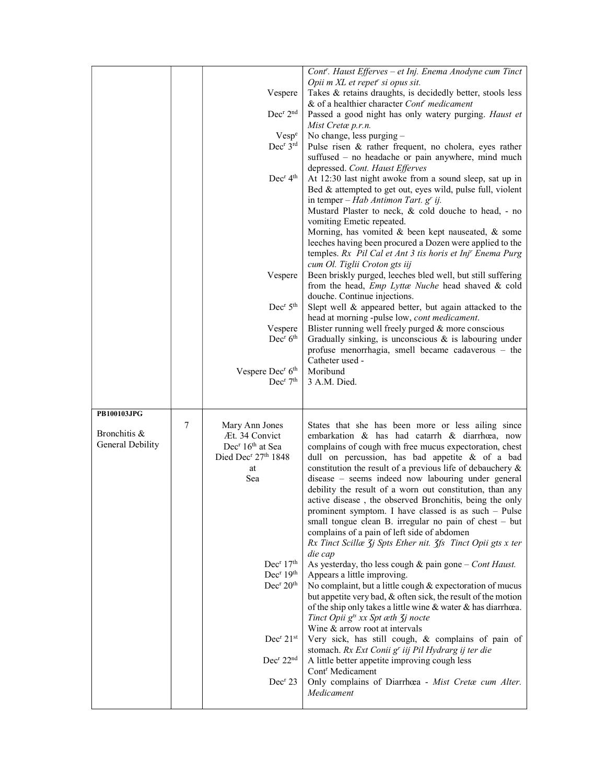|                                  |   |                                                                                         | Cont". Haust Efferves - et Inj. Enema Anodyne cum Tinct                                                       |
|----------------------------------|---|-----------------------------------------------------------------------------------------|---------------------------------------------------------------------------------------------------------------|
|                                  |   | Vespere                                                                                 | Opii m XL et repet <sup>r</sup> si opus sit.<br>Takes & retains draughts, is decidedly better, stools less    |
|                                  |   |                                                                                         | & of a healthier character Cont <sup>r</sup> medicament                                                       |
|                                  |   | Dec <sup>r</sup> 2 <sup>nd</sup>                                                        | Passed a good night has only watery purging. Haust et                                                         |
|                                  |   |                                                                                         | Mist Cretæ p.r.n.                                                                                             |
|                                  |   | Vesp <sup>e</sup>                                                                       | No change, less purging -                                                                                     |
|                                  |   | Dec <sup>r</sup> 3rd                                                                    | Pulse risen & rather frequent, no cholera, eyes rather                                                        |
|                                  |   |                                                                                         | suffused - no headache or pain anywhere, mind much<br>depressed. Cont. Haust Efferves                         |
|                                  |   | Dec <sup>r</sup> 4 <sup>th</sup>                                                        | At 12:30 last night awoke from a sound sleep, sat up in                                                       |
|                                  |   |                                                                                         | Bed & attempted to get out, eyes wild, pulse full, violent                                                    |
|                                  |   |                                                                                         | in temper – Hab Antimon Tart. $gr$ ij.                                                                        |
|                                  |   |                                                                                         | Mustard Plaster to neck, & cold douche to head, - no                                                          |
|                                  |   |                                                                                         | vomiting Emetic repeated.                                                                                     |
|                                  |   |                                                                                         | Morning, has vomited & been kept nauseated, & some                                                            |
|                                  |   |                                                                                         | leeches having been procured a Dozen were applied to the                                                      |
|                                  |   |                                                                                         | temples. Rx Pil Cal et Ant 3 tis horis et Inj" Enema Purg<br>cum Ol. Tiglii Croton gts iij                    |
|                                  |   | Vespere                                                                                 | Been briskly purged, leeches bled well, but still suffering                                                   |
|                                  |   |                                                                                         | from the head, <i>Emp Lyttæ Nuche</i> head shaved & cold                                                      |
|                                  |   |                                                                                         | douche. Continue injections.                                                                                  |
|                                  |   | Dec <sup>r</sup> 5 <sup>th</sup>                                                        | Slept well & appeared better, but again attacked to the                                                       |
|                                  |   |                                                                                         | head at morning -pulse low, cont medicament.                                                                  |
|                                  |   | Vespere                                                                                 | Blister running well freely purged & more conscious                                                           |
|                                  |   | Dec <sup>r</sup> 6 <sup>th</sup>                                                        | Gradually sinking, is unconscious $\&$ is labouring under                                                     |
|                                  |   |                                                                                         | profuse menorrhagia, smell became cadaverous - the                                                            |
|                                  |   | Vespere Dec <sup>r</sup> 6 <sup>th</sup>                                                | Catheter used -<br>Moribund                                                                                   |
|                                  |   | Dec <sup>r</sup> 7 <sup>th</sup>                                                        | 3 A.M. Died.                                                                                                  |
|                                  |   |                                                                                         |                                                                                                               |
|                                  |   |                                                                                         |                                                                                                               |
| PB100103JPG                      |   |                                                                                         |                                                                                                               |
|                                  | 7 | Mary Ann Jones                                                                          | States that she has been more or less ailing since                                                            |
| Bronchitis &<br>General Debility |   | Æt. 34 Convict                                                                          | embarkation & has had catarrh & diarrhœa, now                                                                 |
|                                  |   | Dec <sup>r</sup> 16 <sup>th</sup> at Sea<br>Died Dec <sup>r</sup> 27 <sup>th</sup> 1848 | complains of cough with free mucus expectoration, chest                                                       |
|                                  |   | at                                                                                      | dull on percussion, has bad appetite & of a bad<br>constitution the result of a previous life of debauchery & |
|                                  |   | Sea                                                                                     | disease – seems indeed now labouring under general                                                            |
|                                  |   |                                                                                         | debility the result of a worn out constitution, than any                                                      |
|                                  |   |                                                                                         | active disease, the observed Bronchitis, being the only                                                       |
|                                  |   |                                                                                         | prominent symptom. I have classed is as such $-$ Pulse                                                        |
|                                  |   |                                                                                         | small tongue clean B. irregular no pain of chest - but                                                        |
|                                  |   |                                                                                         | complains of a pain of left side of abdomen                                                                   |
|                                  |   |                                                                                         | Rx Tinct Scillæ 3j Spts Ether nit. 3fs Tinct Opii gts x ter                                                   |
|                                  |   |                                                                                         | die cap                                                                                                       |
|                                  |   | Dec <sup>r</sup> 17 <sup>th</sup><br>Dec <sup>r</sup> 19 <sup>th</sup>                  | As yesterday, tho less cough $\&$ pain gone – Cont Haust.                                                     |
|                                  |   | Dec <sup>r</sup> 20 <sup>th</sup>                                                       | Appears a little improving.<br>No complaint, but a little cough & expectoration of mucus                      |
|                                  |   |                                                                                         | but appetite very bad, & often sick, the result of the motion                                                 |
|                                  |   |                                                                                         | of the ship only takes a little wine & water & has diarrhœa.                                                  |
|                                  |   |                                                                                         | Tinct Opii $g^{ts}$ xx Spt $\alpha$ th $\zeta$ j nocte                                                        |
|                                  |   |                                                                                         | Wine & arrow root at intervals                                                                                |
|                                  |   | Dec <sup>r</sup> 21st                                                                   | Very sick, has still cough, & complains of pain of                                                            |
|                                  |   |                                                                                         | stomach. Rx Ext Conii g' iij Pil Hydrarg ij ter die                                                           |
|                                  |   | Dec <sup>r</sup> 22 <sup>nd</sup>                                                       | A little better appetite improving cough less                                                                 |
|                                  |   |                                                                                         | Cont <sup>r</sup> Medicament                                                                                  |
|                                  |   | Dec <sup>r</sup> 23                                                                     | Only complains of Diarrhœa - Mist Cretæ cum Alter.                                                            |
|                                  |   |                                                                                         | Medicament                                                                                                    |
|                                  |   |                                                                                         |                                                                                                               |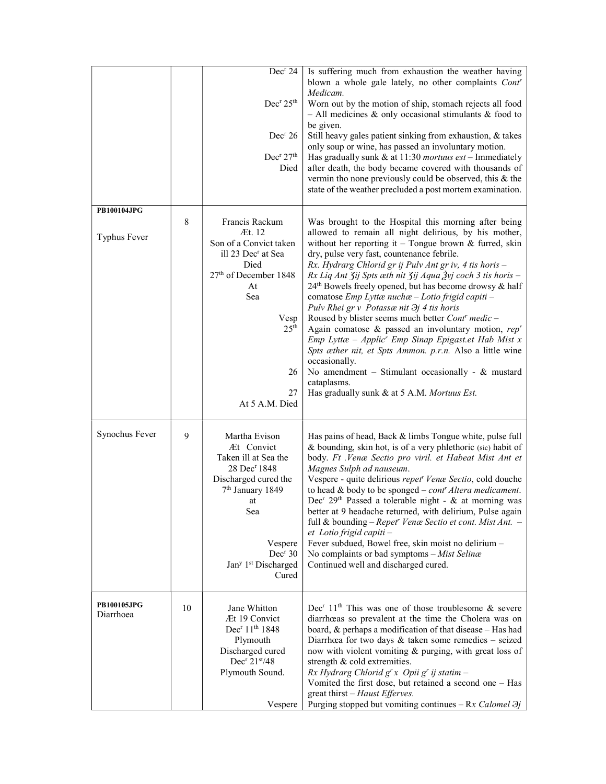|                                 |    | Dec <sup>r</sup> 24<br>Dec <sup>r</sup> 25 <sup>th</sup><br>Dec <sup>r</sup> 26<br>Dec <sup>r</sup> 27 <sup>th</sup><br>Died                                                                                                       | Is suffering much from exhaustion the weather having<br>blown a whole gale lately, no other complaints Cont'<br>Medicam.<br>Worn out by the motion of ship, stomach rejects all food<br>$-$ All medicines & only occasional stimulants & food to<br>be given.<br>Still heavy gales patient sinking from exhaustion, & takes<br>only soup or wine, has passed an involuntary motion.<br>Has gradually sunk & at $11:30$ mortuus est - Immediately<br>after death, the body became covered with thousands of<br>vermin tho none previously could be observed, this & the<br>state of the weather precluded a post mortem examination.                                                                                                                                                                                                                                                                                   |
|---------------------------------|----|------------------------------------------------------------------------------------------------------------------------------------------------------------------------------------------------------------------------------------|-----------------------------------------------------------------------------------------------------------------------------------------------------------------------------------------------------------------------------------------------------------------------------------------------------------------------------------------------------------------------------------------------------------------------------------------------------------------------------------------------------------------------------------------------------------------------------------------------------------------------------------------------------------------------------------------------------------------------------------------------------------------------------------------------------------------------------------------------------------------------------------------------------------------------|
| PB100104JPG<br>Typhus Fever     | 8  | Francis Rackum<br>Æt. 12<br>Son of a Convict taken<br>ill 23 Dec <sup>r</sup> at Sea<br>Died<br>27th of December 1848<br>At<br>Sea<br>Vesp<br>25 <sup>th</sup><br>26<br>27<br>At 5 A.M. Died                                       | Was brought to the Hospital this morning after being<br>allowed to remain all night delirious, by his mother,<br>without her reporting it - Tongue brown $&$ furred, skin<br>dry, pulse very fast, countenance febrile.<br>Rx. Hydrarg Chlorid gr ij Pulv Ant gr iv, 4 tis horis -<br>Rx Liq Ant 3ij Spts æth nit 3ij Aqua Žvj coch 3 tis horis -<br>24 <sup>th</sup> Bowels freely opened, but has become drowsy & half<br>comatose Emp Lyttæ nuchæ - Lotio frigid capiti -<br>Pulv Rhei gr v Potassænit $\partial j$ 4 tis horis<br>Roused by blister seems much better Cont' medic -<br>Again comatose & passed an involuntary motion, $repr$<br>$Emp$ Lyttæ – Applic <sup>r</sup> Emp Sinap Epigast.et Hab Mist x<br>Spts æther nit, et Spts Ammon. p.r.n. Also a little wine<br>occasionally.<br>No amendment - Stimulant occasionally - & mustard<br>cataplasms.<br>Has gradually sunk & at 5 A.M. Mortuus Est. |
| Synochus Fever                  | 9  | Martha Evison<br>Æt Convict<br>Taken ill at Sea the<br>28 Dec <sup>r</sup> 1848<br>Discharged cured the<br>7 <sup>th</sup> January 1849<br>at<br>Sea<br>Vespere<br>Dec <sup>r</sup> 30<br>Jan <sup>y 1st</sup> Discharged<br>Cured | Has pains of head, Back & limbs Tongue white, pulse full<br>& bounding, skin hot, is of a very phlethoric (sic) habit of<br>body. Ft .Venæ Sectio pro viril. et Habeat Mist Ant et<br>Magnes Sulph ad nauseum.<br>Vespere - quite delirious repet <sup>r</sup> Venæ Sectio, cold douche<br>to head & body to be sponged $-$ cont <sup>r</sup> Altera medicament.<br>Dec <sup>r</sup> 29 <sup>th</sup> Passed a tolerable night - & at morning was<br>better at 9 headache returned, with delirium, Pulse again<br>full & bounding - Repet' Venæ Sectio et cont. Mist Ant. -<br>et Lotio frigid capiti-<br>Fever subdued, Bowel free, skin moist no delirium -<br>No complaints or bad symptoms - Mist Selinæ<br>Continued well and discharged cured.                                                                                                                                                                  |
| <b>PB100105JPG</b><br>Diarrhoea | 10 | Jane Whitton<br>Æt 19 Convict<br>Dec <sup>r</sup> 11 <sup>th</sup> 1848<br>Plymouth<br>Discharged cured<br>Dec <sup>r</sup> $21st/48$<br>Plymouth Sound.<br>Vespere                                                                | Dec <sup>r</sup> 11 <sup>th</sup> This was one of those troublesome $\&$ severe<br>diarrhœas so prevalent at the time the Cholera was on<br>board, & perhaps a modification of that disease - Has had<br>Diarrhœa for two days $\&$ taken some remedies - seized<br>now with violent vomiting & purging, with great loss of<br>strength & cold extremities.<br>Rx Hydrarg Chlorid $g^{r}$ x Opii $g^{r}$ ij statim -<br>Vomited the first dose, but retained a second one - Has<br>great thirst – Haust Efferves.<br>Purging stopped but vomiting continues – Rx Calomel $\partial j$                                                                                                                                                                                                                                                                                                                                 |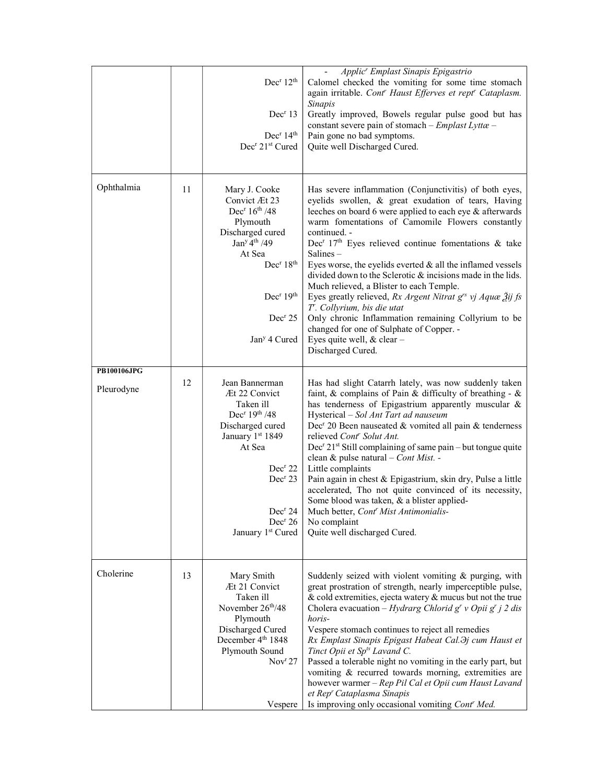|                                  |    | Dec <sup>r</sup> 12 <sup>th</sup><br>Dec <sup>r</sup> 13<br>Dec <sup>r</sup> 14 <sup>th</sup><br>Dec <sup>r</sup> 21 <sup>st</sup> Cured                                                                                                                                      | Applic <sup>r</sup> Emplast Sinapis Epigastrio<br>Calomel checked the vomiting for some time stomach<br>again irritable. Cont' Haust Efferves et rept' Cataplasm.<br>Sinapis<br>Greatly improved, Bowels regular pulse good but has<br>constant severe pain of stomach - Emplast Lyttæ -<br>Pain gone no bad symptoms.<br>Quite well Discharged Cured.                                                                                                                                                                                                                                                                                                                                                                                                                              |
|----------------------------------|----|-------------------------------------------------------------------------------------------------------------------------------------------------------------------------------------------------------------------------------------------------------------------------------|-------------------------------------------------------------------------------------------------------------------------------------------------------------------------------------------------------------------------------------------------------------------------------------------------------------------------------------------------------------------------------------------------------------------------------------------------------------------------------------------------------------------------------------------------------------------------------------------------------------------------------------------------------------------------------------------------------------------------------------------------------------------------------------|
| Ophthalmia                       | 11 | Mary J. Cooke<br>Convict Æt 23<br>Dec <sup>r</sup> $16th$ /48<br>Plymouth<br>Discharged cured<br>Jan <sup>y</sup> 4 <sup>th</sup> / 49<br>At Sea<br>Dec <sup>r</sup> 18 <sup>th</sup><br>Dec <sup>r</sup> 19 <sup>th</sup><br>Dec <sup>r</sup> 25<br>Jan <sup>y</sup> 4 Cured | Has severe inflammation (Conjunctivitis) of both eyes,<br>eyelids swollen, & great exudation of tears, Having<br>leeches on board 6 were applied to each eye & afterwards<br>warm fomentations of Camomile Flowers constantly<br>continued. -<br>Dec <sup>r</sup> 17 <sup>th</sup> Eyes relieved continue fomentations & take<br>Salines-<br>Eyes worse, the eyelids everted $&$ all the inflamed vessels<br>divided down to the Sclerotic & incisions made in the lids.<br>Much relieved, a Blister to each Temple.<br>Eyes greatly relieved, Rx Argent Nitrat g <sup>rs</sup> vj Aquæ Žij fs<br>T'. Collyrium, bis die utat<br>Only chronic Inflammation remaining Collyrium to be<br>changed for one of Sulphate of Copper. -<br>Eyes quite well, & clear -<br>Discharged Cured. |
| <b>PB100106JPG</b><br>Pleurodyne | 12 | Jean Bannerman<br>Æt 22 Convict<br>Taken ill<br>Dec <sup>r</sup> $19th / 48$<br>Discharged cured<br>January 1st 1849<br>At Sea<br>Dec <sup>r</sup> 22<br>Dec <sup>r</sup> 23<br>Dec <sup>r</sup> 24<br>Dec <sup>r</sup> 26<br>January 1st Cured                               | Has had slight Catarrh lately, was now suddenly taken<br>faint, & complains of Pain & difficulty of breathing - $\&$<br>has tenderness of Epigastrium apparently muscular &<br>Hysterical - Sol Ant Tart ad nauseum<br>Dec <sup>r</sup> 20 Been nauseated & vomited all pain & tenderness<br>relieved Cont <sup>r</sup> Solut Ant.<br>Dec <sup>r</sup> 21 <sup>st</sup> Still complaining of same pain – but tongue quite<br>clean & pulse natural - Cont Mist. -<br>Little complaints<br>Pain again in chest & Epigastrium, skin dry, Pulse a little<br>accelerated, Tho not quite convinced of its necessity,<br>Some blood was taken, & a blister applied-<br>Much better, Cont <sup>r</sup> Mist Antimonialis-<br>No complaint<br>Quite well discharged Cured.                  |
| Cholerine                        | 13 | Mary Smith<br>Æt 21 Convict<br>Taken ill<br>November 26 <sup>th</sup> /48<br>Plymouth<br>Discharged Cured<br>December 4th 1848<br>Plymouth Sound<br>Nov <sup>r</sup> 27<br>Vespere                                                                                            | Suddenly seized with violent vomiting & purging, with<br>great prostration of strength, nearly imperceptible pulse,<br>$\&$ cold extremities, ejecta watery $\&$ mucus but not the true<br>Cholera evacuation – Hydrarg Chlorid g <sup>r</sup> v Opii g <sup>r</sup> j 2 dis<br>horis-<br>Vespere stomach continues to reject all remedies<br>Rx Emplast Sinapis Epigast Habeat Cal. Hy cum Haust et<br>Tinct Opii et Sp <sup>ts</sup> Lavand C.<br>Passed a tolerable night no vomiting in the early part, but<br>vomiting & recurred towards morning, extremities are<br>however warmer - Rep Pil Cal et Opii cum Haust Lavand<br>et Rep' Cataplasma Sinapis<br>Is improving only occasional vomiting Cont' Med.                                                                  |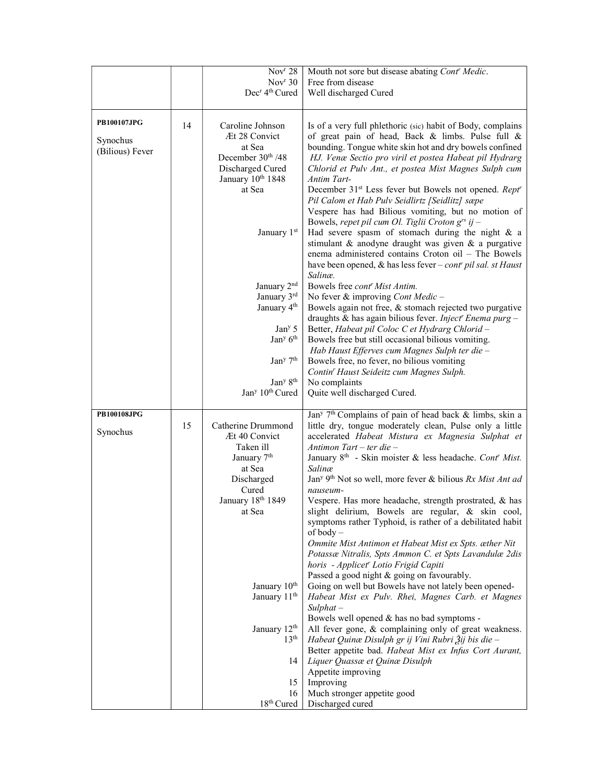|                             |    | $\overline{\text{Nov}}$ <sup>r</sup> 28<br>Nov <sup>r</sup> 30<br>Dec <sup>r</sup> 4 <sup>th</sup> Cured    | Mouth not sore but disease abating Cont' Medic.<br>Free from disease<br>Well discharged Cured                                                                                                                                                                                                                                                                                                                                                                                                     |
|-----------------------------|----|-------------------------------------------------------------------------------------------------------------|---------------------------------------------------------------------------------------------------------------------------------------------------------------------------------------------------------------------------------------------------------------------------------------------------------------------------------------------------------------------------------------------------------------------------------------------------------------------------------------------------|
| <b>PB100107JPG</b>          | 14 | Caroline Johnson                                                                                            | Is of a very full phlethoric (sic) habit of Body, complains                                                                                                                                                                                                                                                                                                                                                                                                                                       |
| Synochus<br>(Bilious) Fever |    | Æt 28 Convict<br>at Sea<br>December 30 <sup>th</sup> /48<br>Discharged Cured<br>January 10th 1848<br>at Sea | of great pain of head, Back & limbs. Pulse full &<br>bounding. Tongue white skin hot and dry bowels confined<br>HJ. Venæ Sectio pro viril et postea Habeat pil Hydrarg<br>Chlorid et Pulv Ant., et postea Mist Magnes Sulph cum<br>Antim Tart-<br>December 31 <sup>st</sup> Less fever but Bowels not opened. Rept <sup>r</sup><br>Pil Calom et Hab Pulv Seidlirtz [Seidlitz] sæpe<br>Vespere has had Bilious vomiting, but no motion of<br>Bowels, repet pil cum Ol. Tiglii Croton $g^{rs}$ ij - |
|                             |    | January 1st                                                                                                 | Had severe spasm of stomach during the night $\&$ a<br>stimulant & anodyne draught was given & a purgative<br>enema administered contains Croton oil - The Bowels<br>have been opened, & has less fever $-$ contr pil sal. st Haust<br>Salinæ.                                                                                                                                                                                                                                                    |
|                             |    | January 2 <sup>nd</sup><br>January 3rd<br>January 4 <sup>th</sup>                                           | Bowels free cont <sup>r</sup> Mist Antim.<br>No fever $\&$ improving Cont Medic -<br>Bowels again not free, & stomach rejected two purgative<br>draughts & has again bilious fever. Inject Enema purg -                                                                                                                                                                                                                                                                                           |
|                             |    | Jan <sup>y</sup> 5                                                                                          | Better, Habeat pil Coloc C et Hydrarg Chlorid -                                                                                                                                                                                                                                                                                                                                                                                                                                                   |
|                             |    | Jan <sup>y</sup> 6 <sup>th</sup>                                                                            | Bowels free but still occasional bilious vomiting.<br>Hab Haust Efferves cum Magnes Sulph ter die -                                                                                                                                                                                                                                                                                                                                                                                               |
|                             |    | Jan <sup>y</sup> 7 <sup>th</sup>                                                                            | Bowels free, no fever, no bilious vomiting                                                                                                                                                                                                                                                                                                                                                                                                                                                        |
|                             |    | Jan <sup>y 8th</sup>                                                                                        | Contin' Haust Seideitz cum Magnes Sulph.<br>No complaints                                                                                                                                                                                                                                                                                                                                                                                                                                         |
|                             |    | Jan <sup>y</sup> 10 <sup>th</sup> Cured                                                                     | Quite well discharged Cured.                                                                                                                                                                                                                                                                                                                                                                                                                                                                      |
| <b>PB100108JPG</b>          |    |                                                                                                             | Jan <sup>y</sup> 7 <sup>th</sup> Complains of pain of head back & limbs, skin a                                                                                                                                                                                                                                                                                                                                                                                                                   |
| Synochus                    | 15 | Catherine Drummond<br>Æt 40 Convict                                                                         | little dry, tongue moderately clean, Pulse only a little<br>accelerated Habeat Mistura ex Magnesia Sulphat et                                                                                                                                                                                                                                                                                                                                                                                     |
|                             |    | Taken ill                                                                                                   | Antimon Tart – ter die –                                                                                                                                                                                                                                                                                                                                                                                                                                                                          |
|                             |    | January 7 <sup>th</sup><br>at Sea                                                                           | January 8 <sup>th</sup> - Skin moister & less headache. Cont <sup>r</sup> Mist.<br>Salinæ                                                                                                                                                                                                                                                                                                                                                                                                         |
|                             |    | Discharged                                                                                                  | Jan <sup>y 9th</sup> Not so well, more fever & bilious Rx Mist Ant ad                                                                                                                                                                                                                                                                                                                                                                                                                             |
|                             |    | Cured<br>January 18th 1849                                                                                  | nauseum-<br>Vespere. Has more headache, strength prostrated, & has                                                                                                                                                                                                                                                                                                                                                                                                                                |
|                             |    | at Sea                                                                                                      | slight delirium, Bowels are regular, & skin cool,<br>symptoms rather Typhoid, is rather of a debilitated habit<br>of body-                                                                                                                                                                                                                                                                                                                                                                        |
|                             |    |                                                                                                             | Ommite Mist Antimon et Habeat Mist ex Spts. æther Nit<br>Potassæ Nitralis, Spts Ammon C. et Spts Lavandulæ 2dis<br>horis - Applicet" Lotio Frigid Capiti                                                                                                                                                                                                                                                                                                                                          |
|                             |    | January 10th                                                                                                | Passed a good night & going on favourably.                                                                                                                                                                                                                                                                                                                                                                                                                                                        |
|                             |    | January 11 <sup>th</sup>                                                                                    | Going on well but Bowels have not lately been opened-<br>Habeat Mist ex Pulv. Rhei, Magnes Carb. et Magnes<br>$Sulphat -$                                                                                                                                                                                                                                                                                                                                                                         |
|                             |    | January 12th                                                                                                | Bowels well opened & has no bad symptoms -<br>All fever gone, & complaining only of great weakness.                                                                                                                                                                                                                                                                                                                                                                                               |
|                             |    | 13 <sup>th</sup>                                                                                            | Habeat Quinæ Disulph gr ij Vini Rubri Žij bis die -                                                                                                                                                                                                                                                                                                                                                                                                                                               |
|                             |    | 14                                                                                                          | Better appetite bad. Habeat Mist ex Infus Cort Aurant,<br>Liquer Quassæ et Quinæ Disulph                                                                                                                                                                                                                                                                                                                                                                                                          |
|                             |    |                                                                                                             | Appetite improving                                                                                                                                                                                                                                                                                                                                                                                                                                                                                |
|                             |    | 15<br>16                                                                                                    | Improving<br>Much stronger appetite good                                                                                                                                                                                                                                                                                                                                                                                                                                                          |
|                             |    | $18^{\rm th}$ Cured                                                                                         | Discharged cured                                                                                                                                                                                                                                                                                                                                                                                                                                                                                  |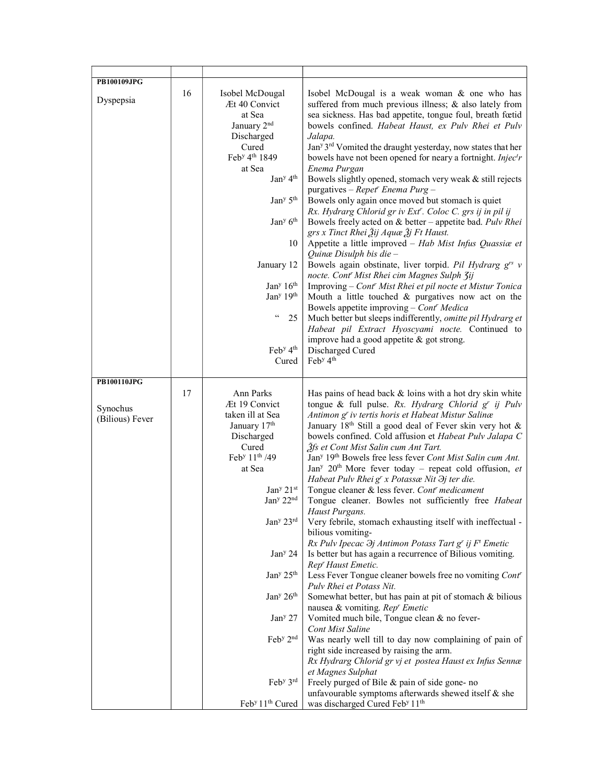| <b>PB100109JPG</b>                         |    |                                                                                                                                                                                                                                                                                                                                                                                                                                                                |                                                                                                                                                                                                                                                                                                                                                                                                                                                                                                                                                                                                                                                                                                                                                                                                                                                                                                                                                                                                                                                                                                                                                                                                                                                                                                                                                                                                                                                                                                                                                                 |
|--------------------------------------------|----|----------------------------------------------------------------------------------------------------------------------------------------------------------------------------------------------------------------------------------------------------------------------------------------------------------------------------------------------------------------------------------------------------------------------------------------------------------------|-----------------------------------------------------------------------------------------------------------------------------------------------------------------------------------------------------------------------------------------------------------------------------------------------------------------------------------------------------------------------------------------------------------------------------------------------------------------------------------------------------------------------------------------------------------------------------------------------------------------------------------------------------------------------------------------------------------------------------------------------------------------------------------------------------------------------------------------------------------------------------------------------------------------------------------------------------------------------------------------------------------------------------------------------------------------------------------------------------------------------------------------------------------------------------------------------------------------------------------------------------------------------------------------------------------------------------------------------------------------------------------------------------------------------------------------------------------------------------------------------------------------------------------------------------------------|
| Dyspepsia                                  | 16 | Isobel McDougal<br>Æt 40 Convict<br>at Sea<br>January 2 <sup>nd</sup><br>Discharged<br>Cured<br>Feb <sup>y</sup> 4 <sup>th</sup> 1849<br>at Sea<br>Jan <sup>y</sup> 4 <sup>th</sup><br>Jan <sup>y</sup> 5 <sup>th</sup><br>Jan <sup>y</sup> 6 <sup>th</sup><br>10<br>January 12<br>Jan <sup>y</sup> 16 <sup>th</sup><br>Jan <sup>y</sup> 19 <sup>th</sup><br>$\epsilon$ $\epsilon$<br>25<br>Feb <sup>y</sup> 4 <sup>th</sup><br>Cured                          | Isobel McDougal is a weak woman & one who has<br>suffered from much previous illness; & also lately from<br>sea sickness. Has bad appetite, tongue foul, breath fœtid<br>bowels confined. Habeat Haust, ex Pulv Rhei et Pulv<br>Jalapa.<br>Jan <sup>y 3rd</sup> Vomited the draught yesterday, now states that her<br>bowels have not been opened for neary a fortnight. Injectr<br>Enema Purgan<br>Bowels slightly opened, stomach very weak & still rejects<br>purgatives - Repet <sup>r</sup> Enema Purg -<br>Bowels only again once moved but stomach is quiet<br>Rx. Hydrarg Chlorid gr iv Ext'. Coloc C. grs ij in pil ij<br>Bowels freely acted on & better - appetite bad. Pulv Rhei<br>grs x Tinct Rhei Žij Aquæ Žj Ft Haust.<br>Appetite a little improved - Hab Mist Infus Quassiae et<br>Quinæ Disulph bis die-<br>Bowels again obstinate, liver torpid. Pil Hydrarg $g^{rs}$ v<br>nocte. Cont' Mist Rhei cim Magnes Sulph 3ij<br>Improving – Cont' Mist Rhei et pil nocte et Mistur Tonica<br>Mouth a little touched $\&$ purgatives now act on the<br>Bowels appetite improving - Cont' Medica<br>Much better but sleeps indifferently, omitte pil Hydrarg et<br>Habeat pil Extract Hyoscyami nocte. Continued to<br>improve had a good appetite & got strong.<br>Discharged Cured<br>Feb <sup>y</sup> 4 <sup>th</sup>                                                                                                                                                                                                                            |
|                                            |    |                                                                                                                                                                                                                                                                                                                                                                                                                                                                |                                                                                                                                                                                                                                                                                                                                                                                                                                                                                                                                                                                                                                                                                                                                                                                                                                                                                                                                                                                                                                                                                                                                                                                                                                                                                                                                                                                                                                                                                                                                                                 |
| PB100110JPG<br>Synochus<br>(Bilious) Fever | 17 | Ann Parks<br>Æt 19 Convict<br>taken ill at Sea<br>January 17th<br>Discharged<br>Cured<br>Feb <sup>y</sup> 11 <sup>th</sup> /49<br>at Sea<br>Jan <sup>y</sup> 21st<br>Jan <sup>y</sup> 22 <sup>nd</sup><br>Jan <sup>y</sup> 23rd<br>Jan <sup>y</sup> 24<br>Jan <sup>y</sup> 25 <sup>th</sup><br>Jan <sup>y</sup> 26 <sup>th</sup><br>Jan <sup>y</sup> 27<br>Feb <sup>y</sup> 2 <sup>nd</sup><br>Feb <sup>y</sup> 3rd<br>Feb <sup>y</sup> 11 <sup>th</sup> Cured | Has pains of head back & loins with a hot dry skin white<br>tongue & full pulse. Rx. Hydrarg Chlorid g' ij Pulv<br>Antimon g' iv tertis horis et Habeat Mistur Salinæ<br>January 18 <sup>th</sup> Still a good deal of Fever skin very hot &<br>bowels confined. Cold affusion et Habeat Pulv Jalapa C<br>3fs et Cont Mist Salin cum Ant Tart.<br>Jan <sup>y</sup> 19th Bowels free less fever Cont Mist Salin cum Ant.<br>Jan <sup>y</sup> 20 <sup>th</sup> More fever today - repeat cold offusion, et<br>Habeat Pulv Rhei g' x Potassæ Nit $\partial j$ ter die.<br>Tongue cleaner & less fever. Cont' medicament<br>Tongue cleaner. Bowles not sufficiently free Habeat<br>Haust Purgans.<br>Very febrile, stomach exhausting itself with ineffectual -<br>bilious vomiting-<br>Rx Pulv Ipecac $\partial j$ Antimon Potass Tart g' ij F' Emetic<br>Is better but has again a recurrence of Bilious vomiting.<br>Rep' Haust Emetic.<br>Less Fever Tongue cleaner bowels free no vomiting Cont'<br>Pulv Rhei et Potass Nit.<br>Somewhat better, but has pain at pit of stomach & bilious<br>nausea & vomiting. Rep' Emetic<br>Vomited much bile, Tongue clean & no fever-<br><b>Cont Mist Saline</b><br>Was nearly well till to day now complaining of pain of<br>right side increased by raising the arm.<br>Rx Hydrarg Chlorid gr vj et postea Haust ex Infus Sennæ<br>et Magnes Sulphat<br>Freely purged of Bile & pain of side gone- no<br>unfavourable symptoms afterwards shewed itself & she<br>was discharged Cured Feb <sup>y</sup> 11 <sup>th</sup> |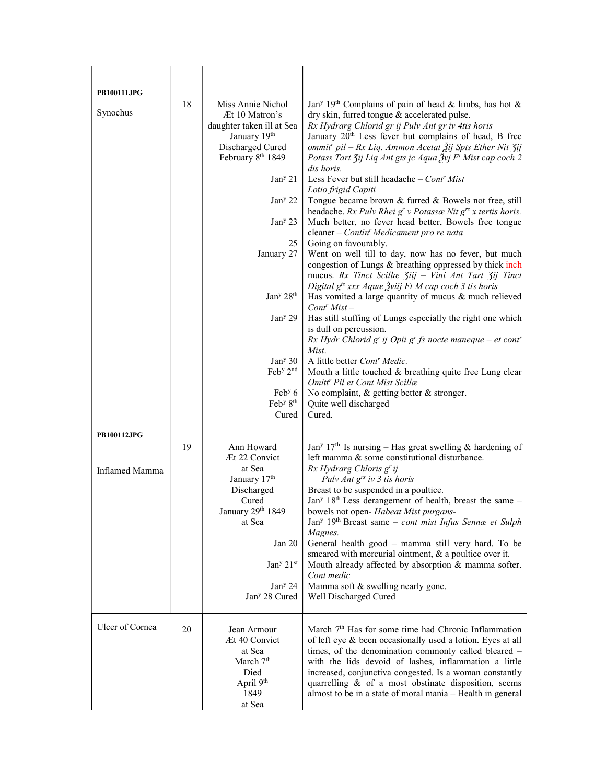| <b>PB100111JPG</b>    |    |                                                                                                                                                              |                                                                                                                                                                                                                                                                                                                                                                                                                                                             |
|-----------------------|----|--------------------------------------------------------------------------------------------------------------------------------------------------------------|-------------------------------------------------------------------------------------------------------------------------------------------------------------------------------------------------------------------------------------------------------------------------------------------------------------------------------------------------------------------------------------------------------------------------------------------------------------|
| Synochus              | 18 | Miss Annie Nichol<br>Æt 10 Matron's<br>daughter taken ill at Sea<br>January 19th<br>Discharged Cured<br>February 8 <sup>th</sup> 1849<br>Jan <sup>y</sup> 21 | Jan <sup>y</sup> 19 <sup>th</sup> Complains of pain of head & limbs, has hot &<br>dry skin, furred tongue & accelerated pulse.<br>Rx Hydrarg Chlorid gr ij Pulv Ant gr iv 4tis horis<br>January 20 <sup>th</sup> Less fever but complains of head, B free<br>ommit' pil – Rx Liq. Ammon Acetat Žij Spts Ether Nit Zij<br>Potass Tart Zij Liq Ant gts jc Aqua Žvj F <sup>t</sup> Mist cap coch 2<br>dis horis.<br>Less Fever but still headache - Cont' Mist |
|                       |    | Jan <sup>y</sup> 22                                                                                                                                          | Lotio frigid Capiti<br>Tongue became brown & furred & Bowels not free, still<br>headache. Rx Pulv Rhei g' v Potassæ Nit g's x tertis horis.                                                                                                                                                                                                                                                                                                                 |
|                       |    | Jan <sup>y</sup> 23                                                                                                                                          | Much better, no fever head better, Bowels free tongue<br>cleaner - Contin' Medicament pro re nata                                                                                                                                                                                                                                                                                                                                                           |
|                       |    | 25<br>January 27                                                                                                                                             | Going on favourably.<br>Went on well till to day, now has no fever, but much<br>congestion of Lungs & breathing oppressed by thick inch<br>mucus. Rx Tinct Scillæ Ziij - Vini Ant Tart Zij Tinct<br>Digital g <sup>ts</sup> xxx Aquæ Žviij Ft M cap coch 3 tis horis                                                                                                                                                                                        |
|                       |    | Jan <sup>y</sup> 28 <sup>th</sup>                                                                                                                            | Has vomited a large quantity of mucus & much relieved<br>$Contr Mist -$                                                                                                                                                                                                                                                                                                                                                                                     |
|                       |    | Jan <sup>y</sup> 29                                                                                                                                          | Has still stuffing of Lungs especially the right one which<br>is dull on percussion.<br>$Rx$ Hydr Chlorid g' ij Opii g' fs nocte maneque – et cont'<br>Mist.                                                                                                                                                                                                                                                                                                |
|                       |    | Jan <sup>y</sup> 30                                                                                                                                          | A little better Cont <sup>r</sup> Medic.                                                                                                                                                                                                                                                                                                                                                                                                                    |
|                       |    | Feb <sup>y</sup> 2 <sup>nd</sup>                                                                                                                             | Mouth a little touched & breathing quite free Lung clear<br>Omitt <sup>r</sup> Pil et Cont Mist Scillæ                                                                                                                                                                                                                                                                                                                                                      |
|                       |    | Feb $y$ 6<br>Feb <sup>y</sup> 8 <sup>th</sup><br>Cured                                                                                                       | No complaint, & getting better & stronger.<br>Quite well discharged<br>Cured.                                                                                                                                                                                                                                                                                                                                                                               |
| <b>PB100112JPG</b>    |    |                                                                                                                                                              |                                                                                                                                                                                                                                                                                                                                                                                                                                                             |
| <b>Inflamed Mamma</b> | 19 | Ann Howard<br>Æt 22 Convict<br>at Sea<br>January 17th                                                                                                        | Jan <sup>y</sup> 17 <sup>th</sup> Is nursing – Has great swelling & hardening of<br>left mamma & some constitutional disturbance.<br>Rx Hydrarg Chloris g' ij<br>Pulv Ant g <sup>rs</sup> iv 3 tis horis                                                                                                                                                                                                                                                    |
|                       |    | Discharged<br>Cured<br>January 29th 1849<br>at Sea                                                                                                           | Breast to be suspended in a poultice.<br>Jan <sup>y</sup> 18 <sup>th</sup> Less derangement of health, breast the same -<br>bowels not open- Habeat Mist purgans-<br>Jany 19th Breast same – cont mist Infus Sennæ et Sulph<br>Magnes.                                                                                                                                                                                                                      |
|                       |    | Jan $20$                                                                                                                                                     | General health good - mamma still very hard. To be<br>smeared with mercurial ointment, & a poultice over it.                                                                                                                                                                                                                                                                                                                                                |
|                       |    | Jan <sup>y</sup> 21st<br>Jan <sup>y</sup> 24                                                                                                                 | Mouth already affected by absorption & mamma softer.<br>Cont medic<br>Mamma soft & swelling nearly gone.                                                                                                                                                                                                                                                                                                                                                    |
|                       |    | Jan <sup>y</sup> 28 Cured                                                                                                                                    | Well Discharged Cured                                                                                                                                                                                                                                                                                                                                                                                                                                       |
| Ulcer of Cornea       | 20 | Jean Armour<br>Æt 40 Convict<br>at Sea<br>March 7 <sup>th</sup><br>Died<br>April 9 <sup>th</sup><br>1849                                                     | March 7 <sup>th</sup> Has for some time had Chronic Inflammation<br>of left eye & been occasionally used a lotion. Eyes at all<br>times, of the denomination commonly called bleared -<br>with the lids devoid of lashes, inflammation a little<br>increased, conjunctiva congested. Is a woman constantly<br>quarrelling & of a most obstinate disposition, seems<br>almost to be in a state of moral mania - Health in general                            |
|                       |    | at Sea                                                                                                                                                       |                                                                                                                                                                                                                                                                                                                                                                                                                                                             |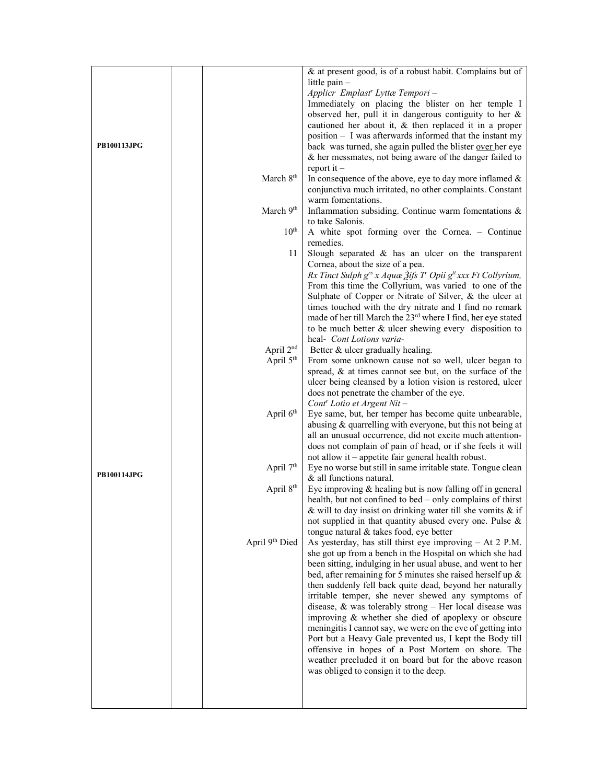|                    |                       | & at present good, is of a robust habit. Complains but of                                                   |
|--------------------|-----------------------|-------------------------------------------------------------------------------------------------------------|
|                    |                       | little pain -                                                                                               |
|                    |                       | Applicr Emplast' Lyttæ Tempori -                                                                            |
|                    |                       | Immediately on placing the blister on her temple I                                                          |
|                    |                       | observed her, pull it in dangerous contiguity to her $\&$                                                   |
|                    |                       | cautioned her about it, $\&$ then replaced it in a proper                                                   |
|                    |                       | position - I was afterwards informed that the instant my                                                    |
| <b>PB100113JPG</b> |                       | back was turned, she again pulled the blister over her eye                                                  |
|                    |                       | & her messmates, not being aware of the danger failed to                                                    |
|                    |                       | $report it -$                                                                                               |
|                    | March 8 <sup>th</sup> | In consequence of the above, eye to day more inflamed $\&$                                                  |
|                    |                       | conjunctiva much irritated, no other complaints. Constant                                                   |
|                    |                       | warm fomentations.                                                                                          |
|                    | March 9th             | Inflammation subsiding. Continue warm fomentations &                                                        |
|                    |                       | to take Salonis.                                                                                            |
|                    | $10^{\text{th}}$      | A white spot forming over the Cornea. - Continue                                                            |
|                    |                       | remedies.                                                                                                   |
|                    | 11                    | Slough separated & has an ulcer on the transparent                                                          |
|                    |                       | Cornea, about the size of a pea.                                                                            |
|                    |                       | Rx Tinct Sulph g <sup>rs</sup> x Aquæ $\tilde{A}$ ifs T' Opii g <sup>it</sup> xxx Ft Collyrium,             |
|                    |                       | From this time the Collyrium, was varied to one of the                                                      |
|                    |                       | Sulphate of Copper or Nitrate of Silver, & the ulcer at                                                     |
|                    |                       | times touched with the dry nitrate and I find no remark                                                     |
|                    |                       | made of her till March the 23 <sup>rd</sup> where I find, her eye stated                                    |
|                    |                       | to be much better & ulcer shewing every disposition to                                                      |
|                    |                       | heal- Cont Lotions varia-                                                                                   |
|                    | April 2 <sup>nd</sup> | Better & ulcer gradually healing.                                                                           |
|                    | April 5 <sup>th</sup> | From some unknown cause not so well, ulcer began to                                                         |
|                    |                       | spread, & at times cannot see but, on the surface of the                                                    |
|                    |                       | ulcer being cleansed by a lotion vision is restored, ulcer                                                  |
|                    |                       | does not penetrate the chamber of the eye.                                                                  |
|                    |                       | Cont <sup>r</sup> Lotio et Argent Nit -                                                                     |
|                    | April 6 <sup>th</sup> | Eye same, but, her temper has become quite unbearable,                                                      |
|                    |                       | abusing & quarrelling with everyone, but this not being at                                                  |
|                    |                       | all an unusual occurrence, did not excite much attention-                                                   |
|                    |                       | does not complain of pain of head, or if she feels it will                                                  |
|                    |                       | not allow it - appetite fair general health robust.                                                         |
| <b>PB100114JPG</b> | April 7 <sup>th</sup> | Eye no worse but still in same irritable state. Tongue clean                                                |
|                    |                       | & all functions natural.                                                                                    |
|                    | April 8 <sup>th</sup> | Eye improving & healing but is now falling off in general                                                   |
|                    |                       | health, but not confined to bed – only complains of thirst                                                  |
|                    |                       | & will to day insist on drinking water till she vomits & if                                                 |
|                    |                       | not supplied in that quantity abused every one. Pulse &                                                     |
|                    |                       | tongue natural & takes food, eye better                                                                     |
|                    | April 9th Died        | As yesterday, has still thirst eye improving $-$ At 2 P.M.                                                  |
|                    |                       | she got up from a bench in the Hospital on which she had                                                    |
|                    |                       | been sitting, indulging in her usual abuse, and went to her                                                 |
|                    |                       | bed, after remaining for 5 minutes she raised herself up $\&$                                               |
|                    |                       | then suddenly fell back quite dead, beyond her naturally                                                    |
|                    |                       | irritable temper, she never shewed any symptoms of                                                          |
|                    |                       | disease, & was tolerably strong - Her local disease was                                                     |
|                    |                       | improving & whether she died of apoplexy or obscure                                                         |
|                    |                       | meningitis I cannot say, we were on the eve of getting into                                                 |
|                    |                       | Port but a Heavy Gale prevented us, I kept the Body till                                                    |
|                    |                       | offensive in hopes of a Post Mortem on shore. The<br>weather precluded it on board but for the above reason |
|                    |                       | was obliged to consign it to the deep.                                                                      |
|                    |                       |                                                                                                             |
|                    |                       |                                                                                                             |
|                    |                       |                                                                                                             |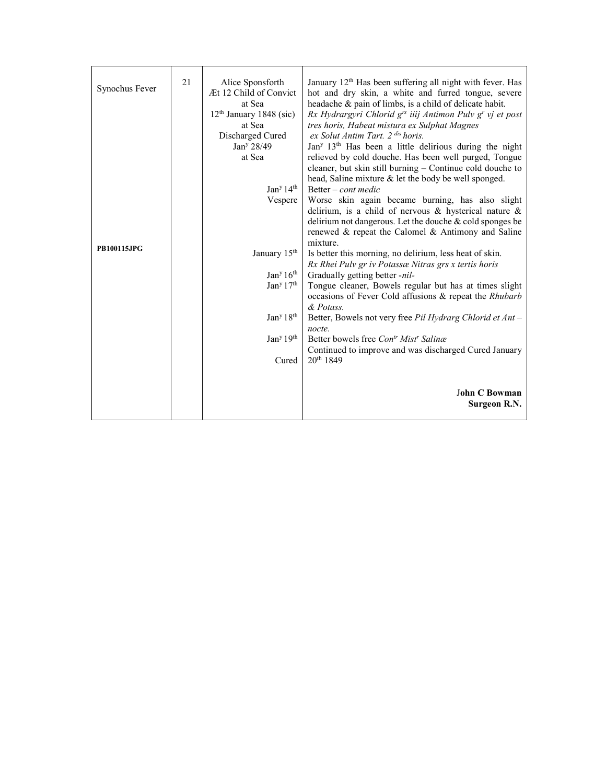| Synochus Fever     | 21 | Alice Sponsforth<br>Æt 12 Child of Convict<br>at Sea<br>$12th$ January 1848 (sic)<br>at Sea<br>Discharged Cured<br>Jan <sup>y</sup> 28/49<br>at Sea | January 12 <sup>th</sup> Has been suffering all night with fever. Has<br>hot and dry skin, a white and furred tongue, severe<br>headache & pain of limbs, is a child of delicate habit.<br>Rx Hydrargyri Chlorid g <sup>rs</sup> iiij Antimon Pulv g <sup>r</sup> vj et post<br>tres horis, Habeat mistura ex Sulphat Magnes<br>ex Solut Antim Tart. 2 <sup>dis</sup> horis.<br>Jan <sup>y 13th</sup> Has been a little delirious during the night<br>relieved by cold douche. Has been well purged, Tongue<br>cleaner, but skin still burning - Continue cold douche to |
|--------------------|----|-----------------------------------------------------------------------------------------------------------------------------------------------------|--------------------------------------------------------------------------------------------------------------------------------------------------------------------------------------------------------------------------------------------------------------------------------------------------------------------------------------------------------------------------------------------------------------------------------------------------------------------------------------------------------------------------------------------------------------------------|
|                    |    |                                                                                                                                                     | head, Saline mixture & let the body be well sponged.                                                                                                                                                                                                                                                                                                                                                                                                                                                                                                                     |
|                    |    | Jan <sup>y</sup> 14 <sup>th</sup>                                                                                                                   | Better – cont medic                                                                                                                                                                                                                                                                                                                                                                                                                                                                                                                                                      |
|                    |    | Vespere                                                                                                                                             | Worse skin again became burning, has also slight<br>delirium, is a child of nervous $\&$ hysterical nature $\&$                                                                                                                                                                                                                                                                                                                                                                                                                                                          |
|                    |    |                                                                                                                                                     | delirium not dangerous. Let the douche & cold sponges be                                                                                                                                                                                                                                                                                                                                                                                                                                                                                                                 |
|                    |    |                                                                                                                                                     | renewed & repeat the Calomel & Antimony and Saline                                                                                                                                                                                                                                                                                                                                                                                                                                                                                                                       |
| <b>PB100115JPG</b> |    |                                                                                                                                                     | mixture.                                                                                                                                                                                                                                                                                                                                                                                                                                                                                                                                                                 |
|                    |    | January 15 <sup>th</sup>                                                                                                                            | Is better this morning, no delirium, less heat of skin.                                                                                                                                                                                                                                                                                                                                                                                                                                                                                                                  |
|                    |    |                                                                                                                                                     | Rx Rhei Pulv gr iv Potassæ Nitras grs x tertis horis                                                                                                                                                                                                                                                                                                                                                                                                                                                                                                                     |
|                    |    | Jan <sup>y</sup> 16 <sup>th</sup>                                                                                                                   | Gradually getting better -nil-                                                                                                                                                                                                                                                                                                                                                                                                                                                                                                                                           |
|                    |    | Jan <sup>y</sup> 17 <sup>th</sup>                                                                                                                   | Tongue cleaner, Bowels regular but has at times slight<br>occasions of Fever Cold affusions & repeat the Rhubarb<br>& Potass.                                                                                                                                                                                                                                                                                                                                                                                                                                            |
|                    |    | Jan <sup>y</sup> 18 <sup>th</sup>                                                                                                                   | Better, Bowels not very free Pil Hydrarg Chlorid et Ant –                                                                                                                                                                                                                                                                                                                                                                                                                                                                                                                |
|                    |    |                                                                                                                                                     | nocte.                                                                                                                                                                                                                                                                                                                                                                                                                                                                                                                                                                   |
|                    |    | Jan <sup>y</sup> 19 <sup>th</sup>                                                                                                                   | Better bowels free Con <sup>tr</sup> Mist <sup>r</sup> Salinæ                                                                                                                                                                                                                                                                                                                                                                                                                                                                                                            |
|                    |    |                                                                                                                                                     | Continued to improve and was discharged Cured January                                                                                                                                                                                                                                                                                                                                                                                                                                                                                                                    |
|                    |    | Cured                                                                                                                                               | $20^{th}$ 1849                                                                                                                                                                                                                                                                                                                                                                                                                                                                                                                                                           |
|                    |    |                                                                                                                                                     |                                                                                                                                                                                                                                                                                                                                                                                                                                                                                                                                                                          |
|                    |    |                                                                                                                                                     | <b>John C Bowman</b><br><b>Surgeon R.N.</b>                                                                                                                                                                                                                                                                                                                                                                                                                                                                                                                              |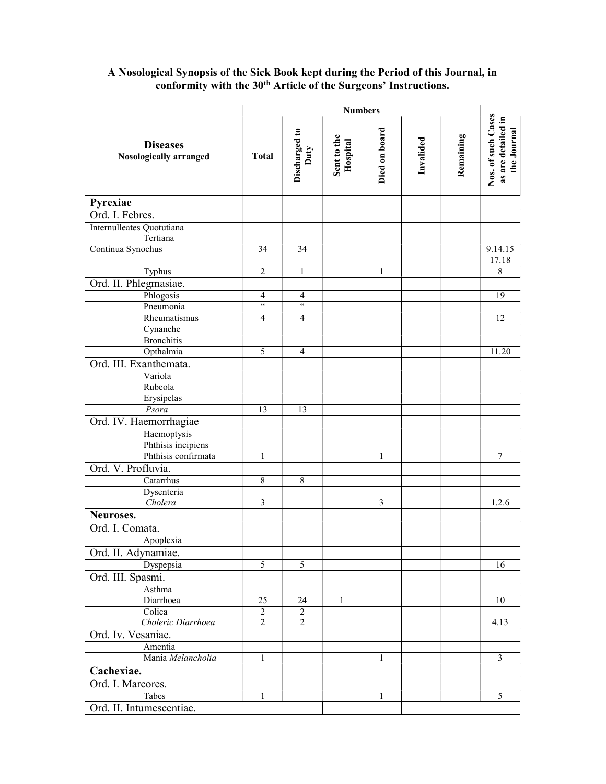## A Nosological Synopsis of the Sick Book kept during the Period of this Journal, in conformity with the 30<sup>th</sup> Article of the Surgeons' Instructions.

|                                           |                          | <b>Numbers</b>        |                         |                |           |           |                                                         |
|-------------------------------------------|--------------------------|-----------------------|-------------------------|----------------|-----------|-----------|---------------------------------------------------------|
| <b>Diseases</b><br>Nosologically arranged | <b>Total</b>             | Discharged to<br>Duty | Sent to the<br>Hospital | Died on board  | Invalided | Remaining | Nos. of such Cases<br>as are detailed in<br>the Journal |
| Pyrexiae                                  |                          |                       |                         |                |           |           |                                                         |
| Ord. I. Febres.                           |                          |                       |                         |                |           |           |                                                         |
| Internulleates Quotutiana                 |                          |                       |                         |                |           |           |                                                         |
| Tertiana                                  |                          |                       |                         |                |           |           |                                                         |
| Continua Synochus                         | 34                       | 34                    |                         |                |           |           | 9.14.15                                                 |
| Typhus                                    | 2                        | $\mathbf{1}$          |                         | $\mathbf{1}$   |           |           | 17.18<br>8                                              |
| Ord. II. Phlegmasiae.                     |                          |                       |                         |                |           |           |                                                         |
| Phlogosis                                 | $\overline{\mathcal{A}}$ | 4                     |                         |                |           |           | 19                                                      |
| Pneumonia                                 | $\zeta\zeta$             | $\zeta\,\zeta$        |                         |                |           |           |                                                         |
| Rheumatismus                              | $\overline{4}$           | 4                     |                         |                |           |           | 12                                                      |
| Cynanche                                  |                          |                       |                         |                |           |           |                                                         |
| <b>Bronchitis</b>                         |                          |                       |                         |                |           |           |                                                         |
| Opthalmia                                 | 5                        | 4                     |                         |                |           |           | 11.20                                                   |
| Ord. III. Exanthemata.                    |                          |                       |                         |                |           |           |                                                         |
| Variola                                   |                          |                       |                         |                |           |           |                                                         |
| Rubeola                                   |                          |                       |                         |                |           |           |                                                         |
| Erysipelas                                |                          |                       |                         |                |           |           |                                                         |
| Psora                                     | 13                       | 13                    |                         |                |           |           |                                                         |
| Ord. IV. Haemorrhagiae                    |                          |                       |                         |                |           |           |                                                         |
| Haemoptysis                               |                          |                       |                         |                |           |           |                                                         |
| Phthisis incipiens                        |                          |                       |                         |                |           |           |                                                         |
| Phthisis confirmata                       | 1                        |                       |                         | 1              |           |           | 7                                                       |
| Ord. V. Profluvia.                        |                          |                       |                         |                |           |           |                                                         |
| Catarrhus                                 | 8                        | 8                     |                         |                |           |           |                                                         |
| Dysenteria                                |                          |                       |                         |                |           |           |                                                         |
| Cholera                                   | 3                        |                       |                         | $\mathfrak{Z}$ |           |           | 1.2.6                                                   |
| Neuroses.                                 |                          |                       |                         |                |           |           |                                                         |
| Ord. I. Comata.                           |                          |                       |                         |                |           |           |                                                         |
| Apoplexia                                 |                          |                       |                         |                |           |           |                                                         |
| Ord. II. Adynamiae.                       |                          |                       |                         |                |           |           |                                                         |
| Dyspepsia                                 | 5                        | 5                     |                         |                |           |           | 16                                                      |
| Ord. III. Spasmi.                         |                          |                       |                         |                |           |           |                                                         |
| Asthma                                    |                          |                       |                         |                |           |           |                                                         |
| Diarrhoea                                 | 25                       | 24                    | $\mathbf{1}$            |                |           |           | 10                                                      |
| Colica                                    | $\overline{c}$           | $\overline{c}$        |                         |                |           |           |                                                         |
| Choleric Diarrhoea                        | $\boldsymbol{2}$         | 2                     |                         |                |           |           | 4.13                                                    |
| Ord. Iv. Vesaniae.                        |                          |                       |                         |                |           |           |                                                         |
| Amentia                                   |                          |                       |                         |                |           |           |                                                         |
| -Mania-Melancholia                        | 1                        |                       |                         | 1              |           |           | $\mathfrak{Z}$                                          |
| Cachexiae.                                |                          |                       |                         |                |           |           |                                                         |
| Ord. I. Marcores.                         |                          |                       |                         |                |           |           |                                                         |
| Tabes                                     | 1                        |                       |                         | $\mathbf{1}$   |           |           | 5                                                       |
| Ord. II. Intumescentiae.                  |                          |                       |                         |                |           |           |                                                         |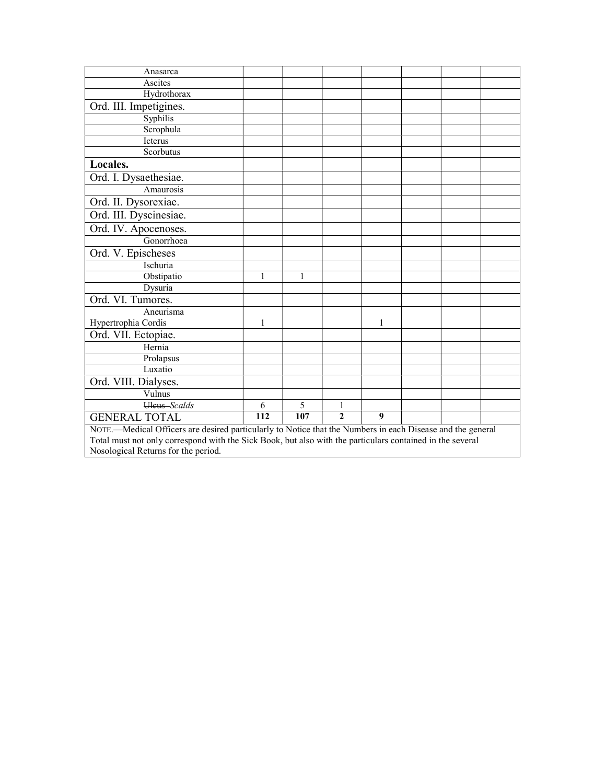| Anasarca                                                                                                   |     |     |                |   |  |  |  |
|------------------------------------------------------------------------------------------------------------|-----|-----|----------------|---|--|--|--|
| Ascites                                                                                                    |     |     |                |   |  |  |  |
| Hydrothorax                                                                                                |     |     |                |   |  |  |  |
| Ord. III. Impetigines.                                                                                     |     |     |                |   |  |  |  |
| Syphilis                                                                                                   |     |     |                |   |  |  |  |
| Scrophula                                                                                                  |     |     |                |   |  |  |  |
| Icterus                                                                                                    |     |     |                |   |  |  |  |
| Scorbutus                                                                                                  |     |     |                |   |  |  |  |
| Locales.                                                                                                   |     |     |                |   |  |  |  |
| Ord. I. Dysaethesiae.                                                                                      |     |     |                |   |  |  |  |
| Amaurosis                                                                                                  |     |     |                |   |  |  |  |
| Ord. II. Dysorexiae.                                                                                       |     |     |                |   |  |  |  |
| Ord. III. Dyscinesiae.                                                                                     |     |     |                |   |  |  |  |
| Ord. IV. Apocenoses.                                                                                       |     |     |                |   |  |  |  |
| Gonorrhoea                                                                                                 |     |     |                |   |  |  |  |
| Ord. V. Epischeses                                                                                         |     |     |                |   |  |  |  |
| Ischuria                                                                                                   |     |     |                |   |  |  |  |
| Obstipatio                                                                                                 | 1   | 1   |                |   |  |  |  |
| Dysuria                                                                                                    |     |     |                |   |  |  |  |
| Ord. VI. Tumores.                                                                                          |     |     |                |   |  |  |  |
| Aneurisma                                                                                                  |     |     |                |   |  |  |  |
| Hypertrophia Cordis                                                                                        | 1   |     |                | 1 |  |  |  |
| Ord. VII. Ectopiae.                                                                                        |     |     |                |   |  |  |  |
| Hernia                                                                                                     |     |     |                |   |  |  |  |
| Prolapsus                                                                                                  |     |     |                |   |  |  |  |
| Luxatio                                                                                                    |     |     |                |   |  |  |  |
| Ord. VIII. Dialyses.                                                                                       |     |     |                |   |  |  |  |
| Vulnus                                                                                                     |     |     |                |   |  |  |  |
| Uleus Scalds                                                                                               | 6   | 5   | 1              |   |  |  |  |
| <b>GENERAL TOTAL</b>                                                                                       | 112 | 107 | $\overline{2}$ | 9 |  |  |  |
| NOTE.-Medical Officers are desired particularly to Notice that the Numbers in each Disease and the general |     |     |                |   |  |  |  |
| Total must not only correspond with the Sick Book, but also with the particulars contained in the several  |     |     |                |   |  |  |  |
| Nosological Returns for the period.                                                                        |     |     |                |   |  |  |  |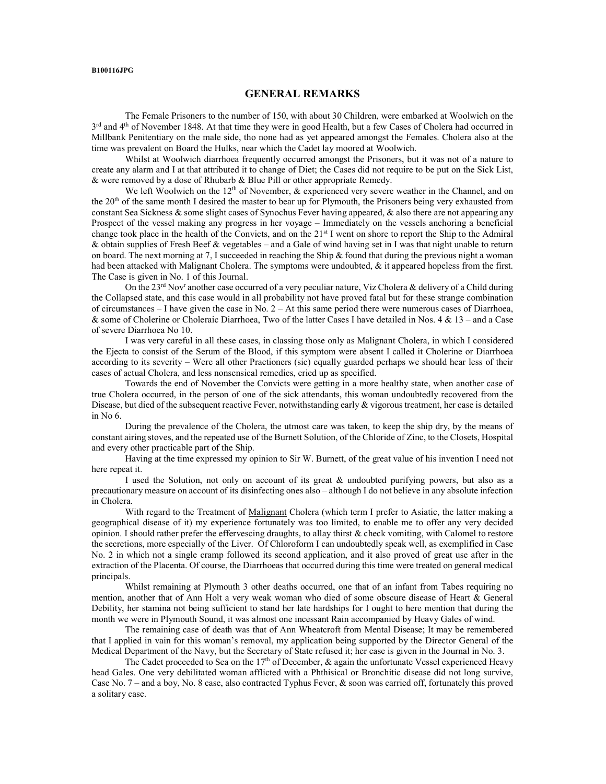#### B100116JPG

#### GENERAL REMARKS

The Female Prisoners to the number of 150, with about 30 Children, were embarked at Woolwich on the 3<sup>rd</sup> and 4<sup>th</sup> of November 1848. At that time they were in good Health, but a few Cases of Cholera had occurred in Millbank Penitentiary on the male side, tho none had as yet appeared amongst the Females. Cholera also at the time was prevalent on Board the Hulks, near which the Cadet lay moored at Woolwich.

 Whilst at Woolwich diarrhoea frequently occurred amongst the Prisoners, but it was not of a nature to create any alarm and I at that attributed it to change of Diet; the Cases did not require to be put on the Sick List, & were removed by a dose of Rhubarb & Blue Pill or other appropriate Remedy.

We left Woolwich on the  $12<sup>th</sup>$  of November, & experienced very severe weather in the Channel, and on the 20<sup>th</sup> of the same month I desired the master to bear up for Plymouth, the Prisoners being very exhausted from constant Sea Sickness & some slight cases of Synochus Fever having appeared, & also there are not appearing any Prospect of the vessel making any progress in her voyage – Immediately on the vessels anchoring a beneficial change took place in the health of the Convicts, and on the 21<sup>st</sup> I went on shore to report the Ship to the Admiral & obtain supplies of Fresh Beef & vegetables – and a Gale of wind having set in I was that night unable to return on board. The next morning at 7, I succeeded in reaching the Ship & found that during the previous night a woman had been attacked with Malignant Cholera. The symptoms were undoubted, & it appeared hopeless from the first. The Case is given in No. 1 of this Journal.

On the 23<sup>rd</sup> Nov<sup>r</sup> another case occurred of a very peculiar nature, Viz Cholera & delivery of a Child during the Collapsed state, and this case would in all probability not have proved fatal but for these strange combination of circumstances – I have given the case in No.  $2 - At$  this same period there were numerous cases of Diarrhoea, & some of Cholerine or Choleraic Diarrhoea, Two of the latter Cases I have detailed in Nos. 4 & 13 – and a Case of severe Diarrhoea No 10.

 I was very careful in all these cases, in classing those only as Malignant Cholera, in which I considered the Ejecta to consist of the Serum of the Blood, if this symptom were absent I called it Cholerine or Diarrhoea according to its severity – Were all other Practioners (sic) equally guarded perhaps we should hear less of their cases of actual Cholera, and less nonsensical remedies, cried up as specified.

 Towards the end of November the Convicts were getting in a more healthy state, when another case of true Cholera occurred, in the person of one of the sick attendants, this woman undoubtedly recovered from the Disease, but died of the subsequent reactive Fever, notwithstanding early & vigorous treatment, her case is detailed in No 6.

 During the prevalence of the Cholera, the utmost care was taken, to keep the ship dry, by the means of constant airing stoves, and the repeated use of the Burnett Solution, of the Chloride of Zinc, to the Closets, Hospital and every other practicable part of the Ship.

 Having at the time expressed my opinion to Sir W. Burnett, of the great value of his invention I need not here repeat it.

 I used the Solution, not only on account of its great & undoubted purifying powers, but also as a precautionary measure on account of its disinfecting ones also – although I do not believe in any absolute infection in Cholera.

 With regard to the Treatment of Malignant Cholera (which term I prefer to Asiatic, the latter making a geographical disease of it) my experience fortunately was too limited, to enable me to offer any very decided opinion. I should rather prefer the effervescing draughts, to allay thirst & check vomiting, with Calomel to restore the secretions, more especially of the Liver. Of Chloroform I can undoubtedly speak well, as exemplified in Case No. 2 in which not a single cramp followed its second application, and it also proved of great use after in the extraction of the Placenta. Of course, the Diarrhoeas that occurred during this time were treated on general medical principals.

Whilst remaining at Plymouth 3 other deaths occurred, one that of an infant from Tabes requiring no mention, another that of Ann Holt a very weak woman who died of some obscure disease of Heart & General Debility, her stamina not being sufficient to stand her late hardships for I ought to here mention that during the month we were in Plymouth Sound, it was almost one incessant Rain accompanied by Heavy Gales of wind.

 The remaining case of death was that of Ann Wheatcroft from Mental Disease; It may be remembered that I applied in vain for this woman's removal, my application being supported by the Director General of the Medical Department of the Navy, but the Secretary of State refused it; her case is given in the Journal in No. 3.

The Cadet proceeded to Sea on the  $17<sup>th</sup>$  of December, & again the unfortunate Vessel experienced Heavy head Gales. One very debilitated woman afflicted with a Phthisical or Bronchitic disease did not long survive, Case No. 7 – and a boy, No. 8 case, also contracted Typhus Fever, & soon was carried off, fortunately this proved a solitary case.